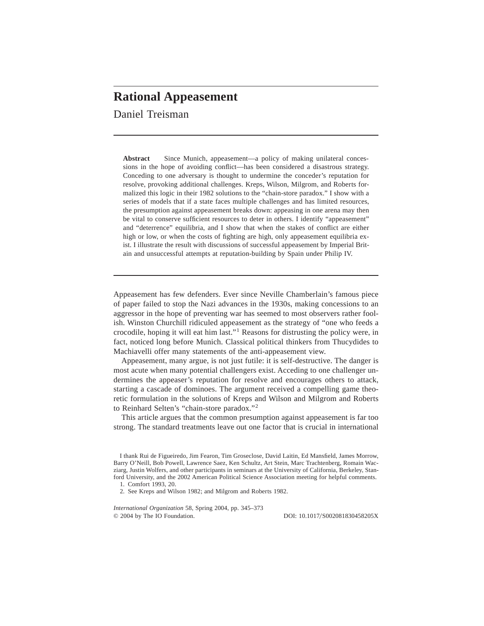# **Rational Appeasement**

Daniel Treisman

**Abstract** Since Munich, appeasement—a policy of making unilateral concessions in the hope of avoiding conflict—has been considered a disastrous strategy+ Conceding to one adversary is thought to undermine the conceder's reputation for resolve, provoking additional challenges. Kreps, Wilson, Milgrom, and Roberts formalized this logic in their 1982 solutions to the "chain-store paradox." I show with a series of models that if a state faces multiple challenges and has limited resources, the presumption against appeasement breaks down: appeasing in one arena may then be vital to conserve sufficient resources to deter in others. I identify "appeasement" and "deterrence" equilibria, and I show that when the stakes of conflict are either high or low, or when the costs of fighting are high, only appeasement equilibria exist. I illustrate the result with discussions of successful appeasement by Imperial Britain and unsuccessful attempts at reputation-building by Spain under Philip IV.

Appeasement has few defenders. Ever since Neville Chamberlain's famous piece of paper failed to stop the Nazi advances in the 1930s, making concessions to an aggressor in the hope of preventing war has seemed to most observers rather foolish. Winston Churchill ridiculed appeasement as the strategy of "one who feeds a crocodile, hoping it will eat him last."<sup>1</sup> Reasons for distrusting the policy were, in fact, noticed long before Munich. Classical political thinkers from Thucydides to Machiavelli offer many statements of the anti-appeasement view.

Appeasement, many argue, is not just futile: it is self-destructive. The danger is most acute when many potential challengers exist. Acceding to one challenger undermines the appeaser's reputation for resolve and encourages others to attack, starting a cascade of dominoes. The argument received a compelling game theoretic formulation in the solutions of Kreps and Wilson and Milgrom and Roberts to Reinhard Selten's "chain-store paradox."<sup>2</sup>

This article argues that the common presumption against appeasement is far too strong. The standard treatments leave out one factor that is crucial in international

I thank Rui de Figueiredo, Jim Fearon, Tim Groseclose, David Laitin, Ed Mansfield, James Morrow, Barry O'Neill, Bob Powell, Lawrence Saez, Ken Schultz, Art Stein, Marc Trachtenberg, Romain Wacziarg, Justin Wolfers, and other participants in seminars at the University of California, Berkeley, Stanford University, and the 2002 American Political Science Association meeting for helpful comments.

1. Comfort 1993, 20.

2. See Kreps and Wilson 1982; and Milgrom and Roberts 1982.

*International Organization* 58, Spring 2004, pp. 345–373 © 2004 by The IO Foundation.

© 2004 by The IO Foundation+ DOI: 10+10170S002081830458205X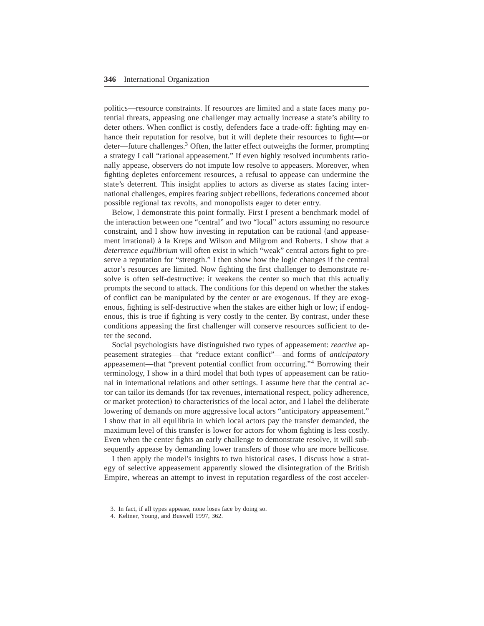politics—resource constraints. If resources are limited and a state faces many potential threats, appeasing one challenger may actually increase a state's ability to deter others. When conflict is costly, defenders face a trade-off: fighting may enhance their reputation for resolve, but it will deplete their resources to fight—or deter—future challenges.<sup>3</sup> Often, the latter effect outweighs the former, prompting a strategy I call "rational appeasement." If even highly resolved incumbents rationally appease, observers do not impute low resolve to appeasers. Moreover, when fighting depletes enforcement resources, a refusal to appease can undermine the state's deterrent. This insight applies to actors as diverse as states facing international challenges, empires fearing subject rebellions, federations concerned about possible regional tax revolts, and monopolists eager to deter entry.

Below, I demonstrate this point formally. First I present a benchmark model of the interaction between one "central" and two "local" actors assuming no resource constraint, and I show how investing in reputation can be rational (and appeasement irrational) à la Kreps and Wilson and Milgrom and Roberts. I show that a *deterrence equilibrium* will often exist in which "weak" central actors fight to preserve a reputation for "strength." I then show how the logic changes if the central actor's resources are limited. Now fighting the first challenger to demonstrate resolve is often self-destructive: it weakens the center so much that this actually prompts the second to attack. The conditions for this depend on whether the stakes of conflict can be manipulated by the center or are exogenous. If they are exogenous, fighting is self-destructive when the stakes are either high or low; if endogenous, this is true if fighting is very costly to the center. By contrast, under these conditions appeasing the first challenger will conserve resources sufficient to deter the second.

Social psychologists have distinguished two types of appeasement: *reactive* appeasement strategies—that "reduce extant conflict"—and forms of *anticipatory* appeasement—that "prevent potential conflict from occurring."<sup>4</sup> Borrowing their terminology, I show in a third model that both types of appeasement can be rational in international relations and other settings. I assume here that the central actor can tailor its demands (for tax revenues, international respect, policy adherence, or market protection) to characteristics of the local actor, and I label the deliberate lowering of demands on more aggressive local actors "anticipatory appeasement." I show that in all equilibria in which local actors pay the transfer demanded, the maximum level of this transfer is lower for actors for whom fighting is less costly. Even when the center fights an early challenge to demonstrate resolve, it will subsequently appease by demanding lower transfers of those who are more bellicose.

I then apply the model's insights to two historical cases. I discuss how a strategy of selective appeasement apparently slowed the disintegration of the British Empire, whereas an attempt to invest in reputation regardless of the cost acceler-

<sup>3.</sup> In fact, if all types appease, none loses face by doing so.

<sup>4.</sup> Keltner, Young, and Buswell 1997, 362.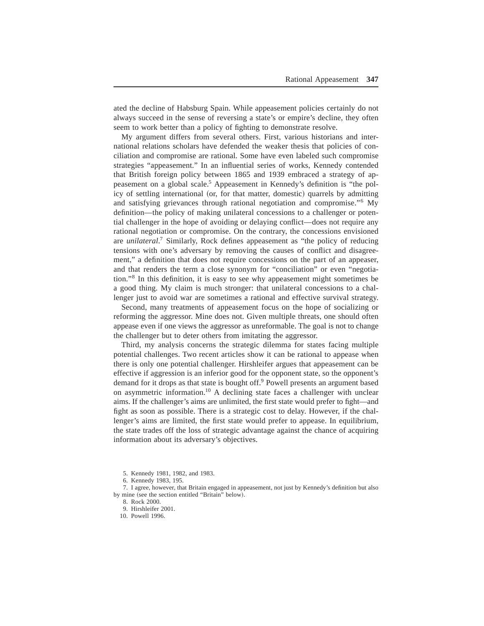ated the decline of Habsburg Spain. While appeasement policies certainly do not always succeed in the sense of reversing a state's or empire's decline, they often seem to work better than a policy of fighting to demonstrate resolve.

My argument differs from several others. First, various historians and international relations scholars have defended the weaker thesis that policies of conciliation and compromise are rational. Some have even labeled such compromise strategies "appeasement." In an influential series of works, Kennedy contended that British foreign policy between 1865 and 1939 embraced a strategy of appeasement on a global scale.<sup>5</sup> Appeasement in Kennedy's definition is "the policy of settling international (or, for that matter, domestic) quarrels by admitting and satisfying grievances through rational negotiation and compromise."<sup>6</sup> My definition—the policy of making unilateral concessions to a challenger or potential challenger in the hope of avoiding or delaying conflict—does not require any rational negotiation or compromise. On the contrary, the concessions envisioned are *unilateral.*<sup>7</sup> Similarly, Rock defines appeasement as "the policy of reducing tensions with one's adversary by removing the causes of conflict and disagreement," a definition that does not require concessions on the part of an appeaser, and that renders the term a close synonym for "conciliation" or even "negotiation.<sup>38</sup> In this definition, it is easy to see why appeasement might sometimes be a good thing. My claim is much stronger: that unilateral concessions to a challenger just to avoid war are sometimes a rational and effective survival strategy.

Second, many treatments of appeasement focus on the hope of socializing or reforming the aggressor. Mine does not. Given multiple threats, one should often appease even if one views the aggressor as unreformable. The goal is not to change the challenger but to deter others from imitating the aggressor.

Third, my analysis concerns the strategic dilemma for states facing multiple potential challenges. Two recent articles show it can be rational to appease when there is only one potential challenger. Hirshleifer argues that appeasement can be effective if aggression is an inferior good for the opponent state, so the opponent's demand for it drops as that state is bought off.<sup>9</sup> Powell presents an argument based on asymmetric information.<sup>10</sup> A declining state faces a challenger with unclear aims. If the challenger's aims are unlimited, the first state would prefer to fight—and fight as soon as possible. There is a strategic cost to delay. However, if the challenger's aims are limited, the first state would prefer to appease. In equilibrium, the state trades off the loss of strategic advantage against the chance of acquiring information about its adversary's objectives.

5. Kennedy 1981, 1982, and 1983.

6. Kennedy 1983, 195.

7. I agree, however, that Britain engaged in appeasement, not just by Kennedy's definition but also by mine (see the section entitled "Britain" below).

8. Rock 2000.

9. Hirshleifer 2001.

10. Powell 1996.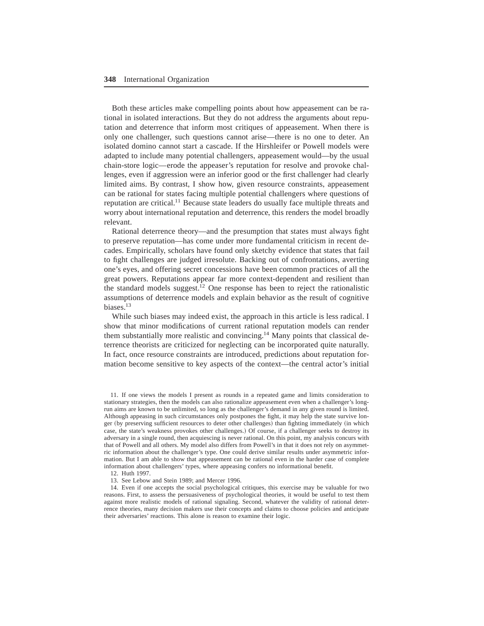Both these articles make compelling points about how appeasement can be rational in isolated interactions+ But they do not address the arguments about reputation and deterrence that inform most critiques of appeasement. When there is only one challenger, such questions cannot arise—there is no one to deter. An isolated domino cannot start a cascade. If the Hirshleifer or Powell models were adapted to include many potential challengers, appeasement would—by the usual chain-store logic—erode the appeaser's reputation for resolve and provoke challenges, even if aggression were an inferior good or the first challenger had clearly limited aims. By contrast, I show how, given resource constraints, appeasement can be rational for states facing multiple potential challengers where questions of reputation are critical.<sup>11</sup> Because state leaders do usually face multiple threats and worry about international reputation and deterrence, this renders the model broadly relevant.

Rational deterrence theory—and the presumption that states must always fight to preserve reputation—has come under more fundamental criticism in recent decades. Empirically, scholars have found only sketchy evidence that states that fail to fight challenges are judged irresolute. Backing out of confrontations, averting one's eyes, and offering secret concessions have been common practices of all the great powers. Reputations appear far more context-dependent and resilient than the standard models suggest.<sup>12</sup> One response has been to reject the rationalistic assumptions of deterrence models and explain behavior as the result of cognitive biases. $^{13}$ 

While such biases may indeed exist, the approach in this article is less radical. I show that minor modifications of current rational reputation models can render them substantially more realistic and convincing.<sup>14</sup> Many points that classical deterrence theorists are criticized for neglecting can be incorporated quite naturally+ In fact, once resource constraints are introduced, predictions about reputation formation become sensitive to key aspects of the context—the central actor's initial

11. If one views the models I present as rounds in a repeated game and limits consideration to stationary strategies, then the models can also rationalize appeasement even when a challenger's longrun aims are known to be unlimited, so long as the challenger's demand in any given round is limited+ Although appeasing in such circumstances only postpones the fight, it may help the state survive longer (by preserving sufficient resources to deter other challenges) than fighting immediately (in which case, the state's weakness provokes other challenges.) Of course, if a challenger seeks to destroy its adversary in a single round, then acquiescing is never rational. On this point, my analysis concurs with that of Powell and all others+ My model also differs from Powell's in that it does not rely on asymmetric information about the challenger's type. One could derive similar results under asymmetric information. But I am able to show that appeasement can be rational even in the harder case of complete information about challengers' types, where appeasing confers no informational benefit.

12. Huth 1997.

13. See Lebow and Stein 1989; and Mercer 1996.

14. Even if one accepts the social psychological critiques, this exercise may be valuable for two reasons. First, to assess the persuasiveness of psychological theories, it would be useful to test them against more realistic models of rational signaling. Second, whatever the validity of rational deterrence theories, many decision makers use their concepts and claims to choose policies and anticipate their adversaries' reactions. This alone is reason to examine their logic.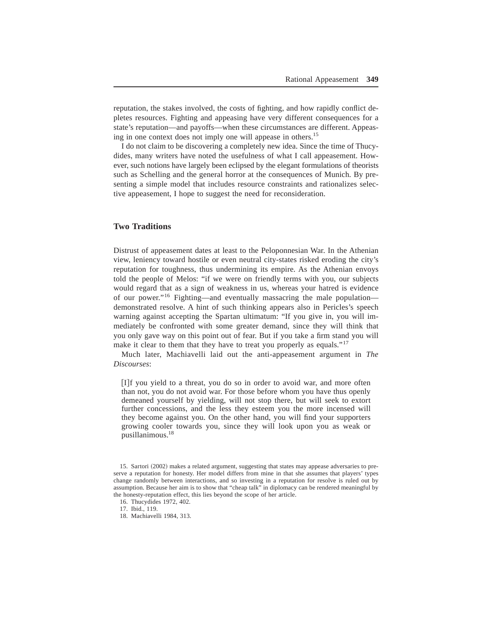reputation, the stakes involved, the costs of fighting, and how rapidly conflict depletes resources. Fighting and appeasing have very different consequences for a state's reputation—and payoffs—when these circumstances are different. Appeasing in one context does not imply one will appease in others.<sup>15</sup>

I do not claim to be discovering a completely new idea. Since the time of Thucydides, many writers have noted the usefulness of what I call appeasement. However, such notions have largely been eclipsed by the elegant formulations of theorists such as Schelling and the general horror at the consequences of Munich. By presenting a simple model that includes resource constraints and rationalizes selective appeasement, I hope to suggest the need for reconsideration.

## **Two Traditions**

Distrust of appeasement dates at least to the Peloponnesian War. In the Athenian view, leniency toward hostile or even neutral city-states risked eroding the city's reputation for toughness, thus undermining its empire. As the Athenian envoys told the people of Melos: "if we were on friendly terms with you, our subjects would regard that as a sign of weakness in us, whereas your hatred is evidence of our power."<sup>16</sup> Fighting—and eventually massacring the male population demonstrated resolve+ A hint of such thinking appears also in Pericles's speech warning against accepting the Spartan ultimatum: "If you give in, you will immediately be confronted with some greater demand, since they will think that you only gave way on this point out of fear. But if you take a firm stand you will make it clear to them that they have to treat you properly as equals."<sup>17</sup>

Much later, Machiavelli laid out the anti-appeasement argument in *The Discourses*:

[I]f you yield to a threat, you do so in order to avoid war, and more often than not, you do not avoid war. For those before whom you have thus openly demeaned yourself by yielding, will not stop there, but will seek to extort further concessions, and the less they esteem you the more incensed will they become against you. On the other hand, you will find your supporters growing cooler towards you, since they will look upon you as weak or pusillanimous.<sup>18</sup>

<sup>15.</sup> Sartori (2002) makes a related argument, suggesting that states may appease adversaries to preserve a reputation for honesty. Her model differs from mine in that she assumes that players' types change randomly between interactions, and so investing in a reputation for resolve is ruled out by assumption. Because her aim is to show that "cheap talk" in diplomacy can be rendered meaningful by the honesty-reputation effect, this lies beyond the scope of her article.

<sup>16.</sup> Thucydides 1972, 402.

<sup>17.</sup> Ibid., 119.

<sup>18.</sup> Machiavelli 1984, 313.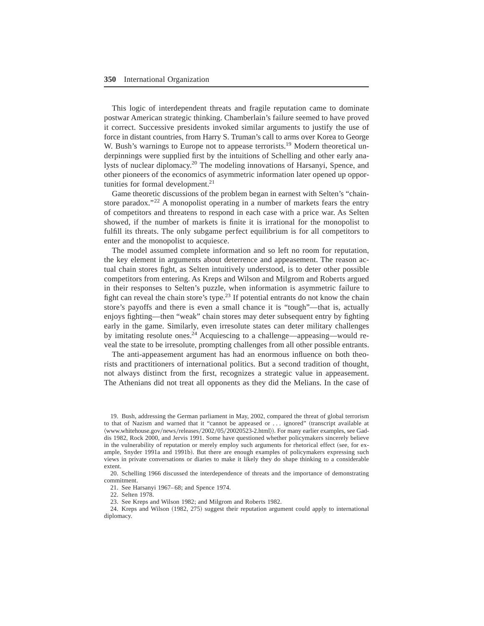This logic of interdependent threats and fragile reputation came to dominate postwar American strategic thinking, Chamberlain's failure seemed to have proved it correct. Successive presidents invoked similar arguments to justify the use of force in distant countries, from Harry S. Truman's call to arms over Korea to George W. Bush's warnings to Europe not to appease terrorists.<sup>19</sup> Modern theoretical underpinnings were supplied first by the intuitions of Schelling and other early analysts of nuclear diplomacy.<sup>20</sup> The modeling innovations of Harsanyi, Spence, and other pioneers of the economics of asymmetric information later opened up opportunities for formal development. $21$ 

Game theoretic discussions of the problem began in earnest with Selten's "chainstore paradox."<sup>22</sup> A monopolist operating in a number of markets fears the entry of competitors and threatens to respond in each case with a price war. As Selten showed, if the number of markets is finite it is irrational for the monopolist to fulfill its threats. The only subgame perfect equilibrium is for all competitors to enter and the monopolist to acquiesce.

The model assumed complete information and so left no room for reputation, the key element in arguments about deterrence and appeasement. The reason actual chain stores fight, as Selten intuitively understood, is to deter other possible competitors from entering+ As Kreps and Wilson and Milgrom and Roberts argued in their responses to Selten's puzzle, when information is asymmetric failure to fight can reveal the chain store's type.<sup>23</sup> If potential entrants do not know the chain store's payoffs and there is even a small chance it is "tough"—that is, actually enjoys fighting—then "weak" chain stores may deter subsequent entry by fighting early in the game. Similarly, even irresolute states can deter military challenges by imitating resolute ones.<sup>24</sup> Acquiescing to a challenge—appeasing—would reveal the state to be irresolute, prompting challenges from all other possible entrants+

The anti-appeasement argument has had an enormous influence on both theorists and practitioners of international politics+ But a second tradition of thought, not always distinct from the first, recognizes a strategic value in appeasement. The Athenians did not treat all opponents as they did the Melians. In the case of

19. Bush, addressing the German parliament in May, 2002, compared the threat of global terrorism to that of Nazism and warned that it "cannot be appeased or ... ignored" (transcript available at  $\langle$ www.whitehouse.gov/news/releases/2002/05/20020523-2.html $\rangle$ ). For many earlier examples, see Gaddis 1982, Rock 2000, and Jervis 1991. Some have questioned whether policymakers sincerely believe in the vulnerability of reputation or merely employ such arguments for rhetorical effect (see, for example, Snyder 1991a and 1991b). But there are enough examples of policymakers expressing such views in private conversations or diaries to make it likely they do shape thinking to a considerable extent.

20. Schelling 1966 discussed the interdependence of threats and the importance of demonstrating commitment.

21. See Harsanyi 1967– 68; and Spence 1974.

22. Selten 1978.

23. See Kreps and Wilson 1982; and Milgrom and Roberts 1982.

24. Kreps and Wilson (1982, 275) suggest their reputation argument could apply to international diplomacy.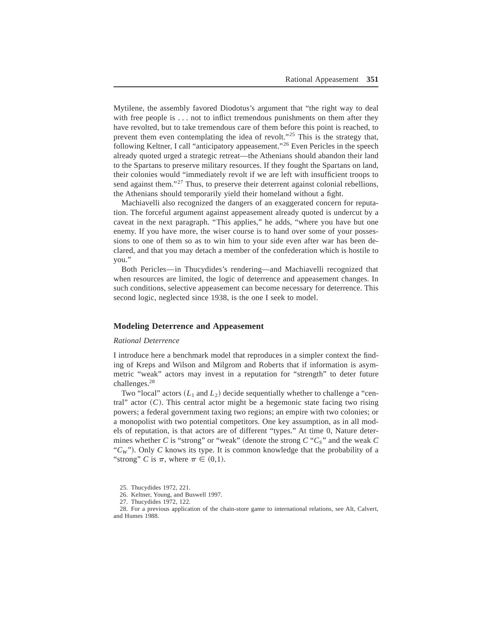Mytilene, the assembly favored Diodotus's argument that "the right way to deal with free people is  $\dots$  not to inflict tremendous punishments on them after they have revolted, but to take tremendous care of them before this point is reached, to prevent them even contemplating the idea of revolt."<sup>25</sup> This is the strategy that, following Keltner, I call "anticipatory appeasement."<sup>26</sup> Even Pericles in the speech already quoted urged a strategic retreat—the Athenians should abandon their land to the Spartans to preserve military resources. If they fought the Spartans on land, their colonies would "immediately revolt if we are left with insufficient troops to send against them. $127$  Thus, to preserve their deterrent against colonial rebellions, the Athenians should temporarily yield their homeland without a fight.

Machiavelli also recognized the dangers of an exaggerated concern for reputation. The forceful argument against appeasement already quoted is undercut by a caveat in the next paragraph. "This applies," he adds, "where you have but one enemy. If you have more, the wiser course is to hand over some of your possessions to one of them so as to win him to your side even after war has been declared, and that you may detach a member of the confederation which is hostile to you."

Both Pericles—in Thucydides's rendering—and Machiavelli recognized that when resources are limited, the logic of deterrence and appeasement changes. In such conditions, selective appeasement can become necessary for deterrence. This second logic, neglected since 1938, is the one I seek to model.

## **Modeling Deterrence and Appeasement**

#### *Rational Deterrence*

I introduce here a benchmark model that reproduces in a simpler context the finding of Kreps and Wilson and Milgrom and Roberts that if information is asymmetric "weak" actors may invest in a reputation for "strength" to deter future challenges.<sup>28</sup>

Two "local" actors  $(L_1 \text{ and } L_2)$  decide sequentially whether to challenge a "central" actor  $(C)$ . This central actor might be a hegemonic state facing two rising powers; a federal government taxing two regions; an empire with two colonies; or a monopolist with two potential competitors. One key assumption, as in all models of reputation, is that actors are of different "types," At time 0, Nature determines whether *C* is "strong" or "weak" (denote the strong  $C$  " $C_s$ " and the weak  $C$ " $C_W$ "). Only *C* knows its type. It is common knowledge that the probability of a "strong" *C* is  $\pi$ , where  $\pi \in (0,1)$ .

28. For a previous application of the chain-store game to international relations, see Alt, Calvert, and Humes 1988.

<sup>25.</sup> Thucydides 1972, 221.

<sup>26.</sup> Keltner, Young, and Buswell 1997.

<sup>27.</sup> Thucydides 1972, 122.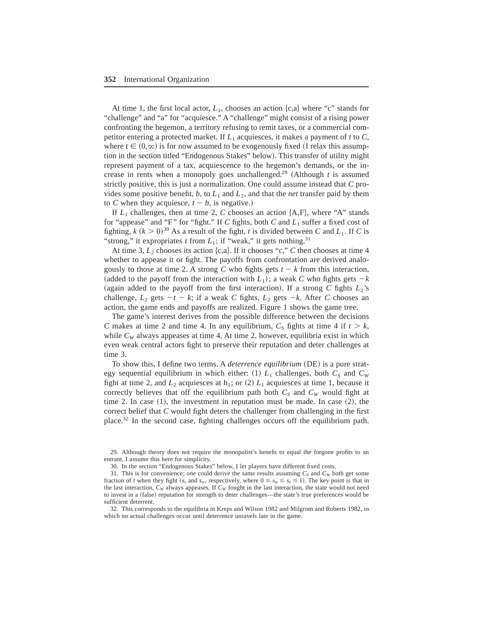At time 1, the first local actor,  $L_1$ , chooses an action  $\{c, a\}$  where "c" stands for "challenge" and "a" for "acquiesce." A "challenge" might consist of a rising power confronting the hegemon, a territory refusing to remit taxes, or a commercial competitor entering a protected market. If  $L_1$  acquiesces, it makes a payment of *t* to *C*, where  $t \in (0,\infty)$  is for now assumed to be exogenously fixed (I relax this assumption in the section titled "Endogenous Stakes" below). This transfer of utility might represent payment of a tax, acquiescence to the hegemon's demands, or the increase in rents when a monopoly goes unchallenged.<sup>29</sup> (Although  $t$  is assumed strictly positive, this is just a normalization. One could assume instead that *C* provides some positive benefit,  $b$ , to  $L_1$  and  $L_2$ , and that the *net* transfer paid by them to *C* when they acquiesce,  $t - b$ , is negative.)

If  $L_1$  challenges, then at time 2, C chooses an action  $\{A, F\}$ , where "A" stands for "appease" and "F" for "fight." If  $C$  fights, both  $C$  and  $L_1$  suffer a fixed cost of fighting,  $k (k > 0)^{30}$  As a result of the fight, *t* is divided between *C* and *L*<sub>1</sub>. If *C* is "strong," it expropriates *t* from  $L_1$ ; if "weak," it gets nothing.<sup>31</sup>

At time 3,  $L_2$  chooses its action  $\{c,a\}$ . If it chooses "c," *C* then chooses at time 4 whether to appease it or fight. The payoffs from confrontation are derived analogously to those at time 2. A strong *C* who fights gets  $t - k$  from this interaction, (added to the payoff from the interaction with  $L_1$ ); a weak C who fights gets  $-k$ (again added to the payoff from the first interaction). If a strong *C* fights  $L_2$ 's challenge,  $L_2$  gets  $-t - k$ ; if a weak *C* fights,  $L_2$  gets  $-k$ . After *C* chooses an action, the game ends and payoffs are realized. Figure 1 shows the game tree.

The game's interest derives from the possible difference between the decisions *C* makes at time 2 and time 4. In any equilibrium,  $C_s$  fights at time 4 if  $t > k$ , while  $C_W$  always appeases at time 4. At time 2, however, equilibria exist in which even weak central actors fight to preserve their reputation and deter challenges at time 3.

To show this, I define two terms. A *deterrence equilibrium* (DE) is a pure strategy sequential equilibrium in which either: (1)  $L_1$  challenges, both  $C_S$  and  $C_W$ fight at time 2, and  $L_2$  acquiesces at  $h_1$ ; or (2)  $L_1$  acquiesces at time 1, because it correctly believes that off the equilibrium path both  $C_S$  and  $C_W$  would fight at time 2. In case  $(1)$ , the investment in reputation must be made. In case  $(2)$ , the correct belief that *C* would fight deters the challenger from challenging in the first place.<sup>32</sup> In the second case, fighting challenges occurs off the equilibrium path.

29. Although theory does not require the monopolist's benefit to equal the forgone profits to an entrant, I assume this here for simplicity.

32. This corresponds to the equilibria in Kreps and Wilson 1982 and Milgrom and Roberts 1982, in which no actual challenges occur until deterrence unravels late in the game.

<sup>30.</sup> In the section "Endogenous Stakes" below, I let players have different fixed costs.

<sup>31.</sup> This is for convenience; one could derive the same results assuming  $C_S$  and  $C_W$  both get some fraction of *t* when they fight ( $s_s$  and  $s_w$ , respectively, where  $0 \leq s_w \leq s_s \leq 1$ ). The key point is that in the last interaction,  $C_W$  always appeases. If  $C_W$  fought in the last interaction, the state would not need to invest in a (false) reputation for strength to deter challenges—the state's true preferences would be sufficient deterrent.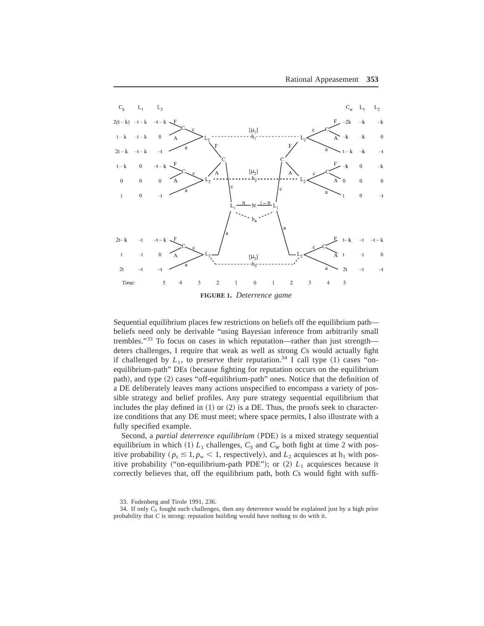

Sequential equilibrium places few restrictions on beliefs off the equilibrium path beliefs need only be derivable "using Bayesian inference from arbitrarily small trembles."<sup>33</sup> To focus on cases in which reputation—rather than just strength deters challenges, I require that weak as well as strong *C*s would actually fight if challenged by  $L_1$ , to preserve their reputation.<sup>34</sup> I call type (1) cases "onequilibrium-path" DEs (because fighting for reputation occurs on the equilibrium path), and type (2) cases "off-equilibrium-path" ones. Notice that the definition of a DE deliberately leaves many actions unspecified to encompass a variety of possible strategy and belief profiles. Any pure strategy sequential equilibrium that includes the play defined in  $(1)$  or  $(2)$  is a DE. Thus, the proofs seek to characterize conditions that any DE must meet; where space permits, I also illustrate with a fully specified example.

Second, a *partial deterrence equilibrium* (PDE) is a mixed strategy sequential equilibrium in which  $(1)$   $L_1$  challenges,  $C_S$  and  $C_W$  both fight at time 2 with positive probability ( $p_s \leq 1$ ,  $p_w < 1$ , respectively), and  $L_2$  acquiesces at  $h_1$  with positive probability ("on-equilibrium-path PDE"); or  $(2)$   $L_1$  acquiesces because it correctly believes that, off the equilibrium path, both *C*s would fight with suffi-

<sup>33.</sup> Fudenberg and Tirole 1991, 236.

<sup>34.</sup> If only  $C_S$  fought such challenges, then any deterrence would be explained just by a high prior probability that  $C$  is strong: reputation building would have nothing to do with it.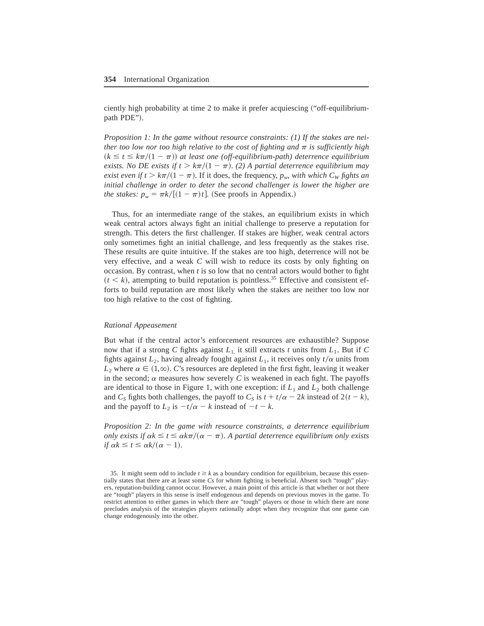ciently high probability at time 2 to make it prefer acquiescing ("off-equilibriumpath PDE").

*Proposition 1: In the game without resource constraints: (1) If the stakes are neither too low nor too high relative to the cost of fighting and*  $\pi$  *is sufficiently high*  $(k \le t \le k\pi/(1 - \pi))$  at least one (off-equilibrium-path) deterrence equilibrium *exists. No DE exists if*  $t > k\pi/(1 - \pi)$ *. (2) A partial deterrence equilibrium may exist even if t* >  $k\pi/(1 - \pi)$ . If it does, the frequency,  $p_w$ , with which C<sub>W</sub> *fights an initial challenge in order to deter the second challenger is lower the higher are the stakes:*  $p_w = \frac{\pi k}{(1 - \pi)t}$ . (See proofs in Appendix.)

Thus, for an intermediate range of the stakes, an equilibrium exists in which weak central actors always fight an initial challenge to preserve a reputation for strength. This deters the first challenger. If stakes are higher, weak central actors only sometimes fight an initial challenge, and less frequently as the stakes rise+ These results are quite intuitive. If the stakes are too high, deterrence will not be very effective, and a weak *C* will wish to reduce its costs by only fighting on occasion. By contrast, when  $t$  is so low that no central actors would bother to fight  $(t < k)$ , attempting to build reputation is pointless.<sup>35</sup> Effective and consistent efforts to build reputation are most likely when the stakes are neither too low nor too high relative to the cost of fighting+

#### *Rational Appeasement*

But what if the central actor's enforcement resources are exhaustible? Suppose now that if a strong *C* fights against  $L_1$  it still extracts *t* units from  $L_1$ . But if *C* fights against  $L_2$ , having already fought against  $L_1$ , it receives only  $t/\alpha$  units from  $L_2$  where  $\alpha \in (1,\infty)$ . *C*'s resources are depleted in the first fight, leaving it weaker in the second;  $\alpha$  measures how severely C is weakened in each fight. The payoffs are identical to those in Figure 1, with one exception: if  $L_1$  and  $L_2$  both challenge and *C<sub>S</sub>* fights both challenges, the payoff to *C<sub>S</sub>* is  $t + t/\alpha - 2k$  instead of  $2(t - k)$ , and the payoff to  $L_2$  is  $-t/\alpha - k$  instead of  $-t - k$ .

*Proposition 2: In the game with resource constraints, a deterrence equilibrium only exists if*  $\alpha k \le t \le \alpha k \pi/(\alpha - \pi)$ . A partial deterrence equilibrium only exists *if*  $\alpha k \le t \le \frac{\alpha k}{\alpha - 1}$ .

<sup>35.</sup> It might seem odd to include  $t \ge k$  as a boundary condition for equilibrium, because this essentially states that there are at least some *Cs* for whom fighting is beneficial. Absent such "tough" players, reputation-building cannot occur. However, a main point of this article is that whether or not there are "tough" players in this sense is itself endogenous and depends on previous moves in the game. To restrict attention to either games in which there are "tough" players or those in which there are none precludes analysis of the strategies players rationally adopt when they recognize that one game can change endogenously into the other.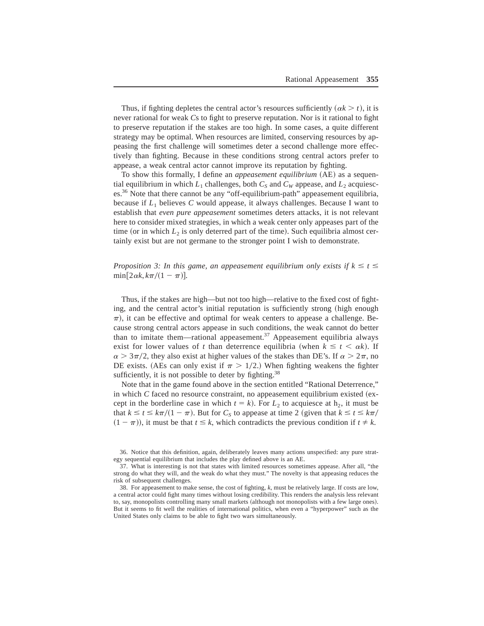Thus, if fighting depletes the central actor's resources sufficiently  $(\alpha k > t)$ , it is never rational for weak *Cs* to fight to preserve reputation. Nor is it rational to fight to preserve reputation if the stakes are too high. In some cases, a quite different strategy may be optimal. When resources are limited, conserving resources by appeasing the first challenge will sometimes deter a second challenge more effectively than fighting. Because in these conditions strong central actors prefer to appease, a weak central actor cannot improve its reputation by fighting.

To show this formally, I define an *appeasement equilibrium* (AE) as a sequential equilibrium in which  $L_1$  challenges, both  $C_S$  and  $C_W$  appease, and  $L_2$  acquiesces.<sup>36</sup> Note that there cannot be any "off-equilibrium-path" appeasement equilibria, because if  $L_1$  believes C would appease, it always challenges. Because I want to establish that *even pure appeasement* sometimes deters attacks, it is not relevant here to consider mixed strategies, in which a weak center only appeases part of the time (or in which  $L_2$  is only deterred part of the time). Such equilibria almost certainly exist but are not germane to the stronger point I wish to demonstrate.

*Proposition 3: In this game, an appeasement equilibrium only exists if*  $k \le t \le$  $\min[2\alpha k, k\pi/(1 - \pi)].$ 

Thus, if the stakes are high—but not too high—relative to the fixed cost of fighting, and the central actor's initial reputation is sufficiently strong (high enough  $\pi$ ), it can be effective and optimal for weak centers to appease a challenge. Because strong central actors appease in such conditions, the weak cannot do better than to imitate them—rational appeasement.<sup>37</sup> Appeasement equilibria always exist for lower values of *t* than deterrence equilibria (when  $k \le t < \alpha k$ ). If  $\alpha$  > 3 $\pi/2$ , they also exist at higher values of the stakes than DE's. If  $\alpha$  > 2 $\pi$ , no DE exists. (AEs can only exist if  $\pi > 1/2$ .) When fighting weakens the fighter sufficiently, it is not possible to deter by fighting. $38$ 

Note that in the game found above in the section entitled "Rational Deterrence," in which  $C$  faced no resource constraint, no appeasement equilibrium existed  $(ex$ cept in the borderline case in which  $t = k$ ). For  $L_2$  to acquiesce at h<sub>2</sub>, it must be that  $k \le t \le k\pi/(1 - \pi)$ . But for  $C_s$  to appease at time 2 (given that  $k \le t \le k\pi/$  $(1 - \pi)$ , it must be that  $t \leq k$ , which contradicts the previous condition if  $t \neq k$ .

<sup>36</sup>+ Notice that this definition, again, deliberately leaves many actions unspecified: any pure strategy sequential equilibrium that includes the play defined above is an AE.

<sup>37.</sup> What is interesting is not that states with limited resources sometimes appease. After all, "the strong do what they will, and the weak do what they must." The novelty is that appeasing reduces the risk of subsequent challenges.

<sup>38.</sup> For appeasement to make sense, the cost of fighting, *k*, must be relatively large. If costs are low, a central actor could fight many times without losing credibility. This renders the analysis less relevant to, say, monopolists controlling many small markets (although not monopolists with a few large ones). But it seems to fit well the realities of international politics, when even a "hyperpower" such as the United States only claims to be able to fight two wars simultaneously+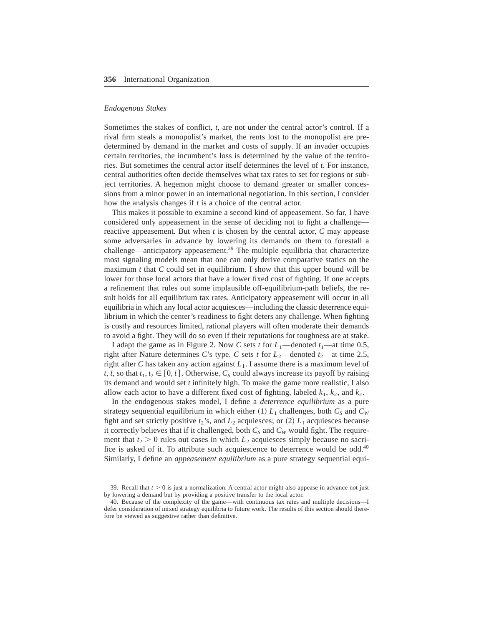## *Endogenous Stakes*

Sometimes the stakes of conflict, *t*, are not under the central actor's control. If a rival firm steals a monopolist's market, the rents lost to the monopolist are predetermined by demand in the market and costs of supply. If an invader occupies certain territories, the incumbent's loss is determined by the value of the territories. But sometimes the central actor itself determines the level of *t*. For instance, central authorities often decide themselves what tax rates to set for regions or subject territories. A hegemon might choose to demand greater or smaller concessions from a minor power in an international negotiation. In this section, I consider how the analysis changes if  $t$  is a choice of the central actor.

This makes it possible to examine a second kind of appeasement. So far, I have considered only appeasement in the sense of deciding not to fight a challenge reactive appeasement. But when  $t$  is chosen by the central actor,  $C$  may appease some adversaries in advance by lowering its demands on them to forestall a challenge—anticipatory appeasement.<sup>39</sup> The multiple equilibria that characterize most signaling models mean that one can only derive comparative statics on the maximum  $t$  that  $C$  could set in equilibrium. I show that this upper bound will be lower for those local actors that have a lower fixed cost of fighting. If one accepts a refinement that rules out some implausible off-equilibrium-path beliefs, the result holds for all equilibrium tax rates. Anticipatory appeasement will occur in all equilibria in which any local actor acquiesces—including the classic deterrence equilibrium in which the center's readiness to fight deters any challenge. When fighting is costly and resources limited, rational players will often moderate their demands to avoid a fight. They will do so even if their reputations for toughness are at stake.

I adapt the game as in Figure 2. Now *C* sets *t* for  $L_1$ —denoted  $t_1$ —at time 0.5, right after Nature determines *C*'s type. *C* sets *t* for  $L_2$ —denoted  $t_2$ —at time 2.5, right after *C* has taken any action against  $L_1$ . I assume there is a maximum level of *t*,  $\bar{t}$ , so that  $t_1, t_2 \in [0, \bar{t}]$ . Otherwise,  $C_s$  could always increase its payoff by raising its demand and would set *t* infinitely high. To make the game more realistic, I also allow each actor to have a different fixed cost of fighting, labeled  $k_1$ ,  $k_2$ , and  $k_c$ .

In the endogenous stakes model, I define a *deterrence equilibrium* as a pure strategy sequential equilibrium in which either  $(1) L_1$  challenges, both  $C_S$  and  $C_W$ fight and set strictly positive  $t_2$ 's, and  $L_2$  acquiesces; or (2)  $L_1$  acquiesces because it correctly believes that if it challenged, both  $C_S$  and  $C_W$  would fight. The requirement that  $t_2 > 0$  rules out cases in which  $L_2$  acquiesces simply because no sacrifice is asked of it. To attribute such acquiescence to deterrence would be odd.<sup>40</sup> Similarly, I define an *appeasement equilibrium* as a pure strategy sequential equi-

<sup>39.</sup> Recall that  $t > 0$  is just a normalization. A central actor might also appease in advance not just by lowering a demand but by providing a positive transfer to the local actor.

<sup>40.</sup> Because of the complexity of the game—with continuous tax rates and multiple decisions—I defer consideration of mixed strategy equilibria to future work. The results of this section should therefore be viewed as suggestive rather than definitive.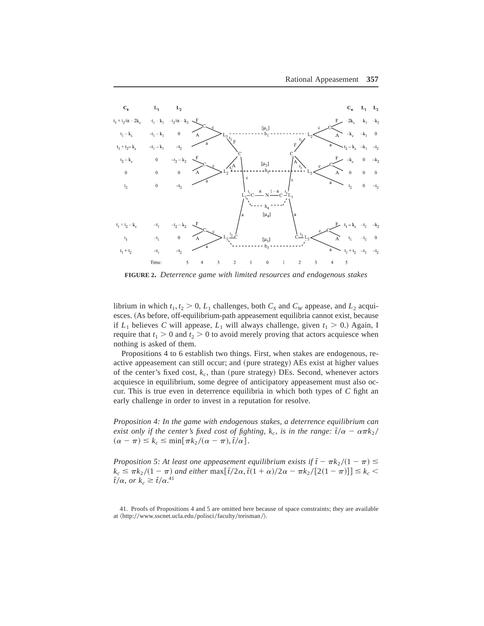

**FIGURE 2.** *Deterrence game with limited resources and endogenous stakes*

librium in which  $t_1, t_2 > 0, L_1$  challenges, both  $C_S$  and  $C_W$  appease, and  $L_2$  acquiesces. (As before, off-equilibrium-path appeasement equilibria cannot exist, because if  $L_1$  believes C will appease,  $L_1$  will always challenge, given  $t_1 > 0$ .) Again, I require that  $t_1 > 0$  and  $t_2 > 0$  to avoid merely proving that actors acquiesce when nothing is asked of them.

Propositions 4 to 6 establish two things. First, when stakes are endogenous, reactive appeasement can still occur; and (pure strategy) AEs exist at higher values of the center's fixed cost,  $k_c$ , than (pure strategy) DEs. Second, whenever actors acquiesce in equilibrium, some degree of anticipatory appeasement must also occur. This is true even in deterrence equilibria in which both types of  $C$  fight an early challenge in order to invest in a reputation for resolve.

*Proposition 4: In the game with endogenous stakes, a deterrence equilibrium can exist only if the center's fixed cost of fighting,*  $k_c$ *, <i>is in the range:*  $\bar{t}/\alpha - \alpha \pi k_2 /$  $(\alpha - \pi) \leq k_c \leq \min[\pi k_2 / (\alpha - \pi), \overline{t}/\alpha].$ 

*Proposition 5: At least one appeasement equilibrium exists if*  $\bar{t} - \pi k_2 / (1 - \pi) \le$  $k_c \leq \frac{\pi k_2}{(1 - \pi)}$  and either  $\max[\bar{t}/2\alpha, \bar{t}(1 + \alpha)/2\alpha - \frac{\pi k_2}{[2(1 - \pi)]}] \leq k_c$  $\bar{t}/\alpha$ *, or*  $k_c \geq \bar{t}/\alpha$ <sup>41</sup>

<sup>41.</sup> Proofs of Propositions 4 and 5 are omitted here because of space constraints; they are available at  $\langle \frac{http://www.sscnet.ucla.edu/polisci/faculty/treisman/}{\rangle}$ .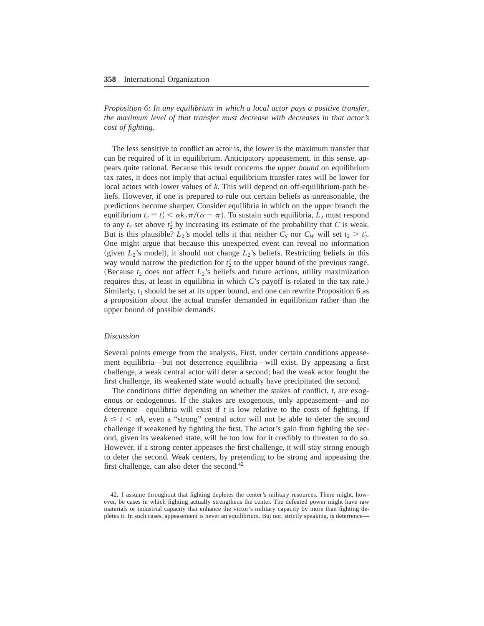*Proposition 6: In any equilibrium in which a local actor pays a positive transfer, the maximum level of that transfer must decrease with decreases in that actor's cost of fighting.*

The less sensitive to conflict an actor is, the lower is the maximum transfer that can be required of it in equilibrium. Anticipatory appeasement, in this sense, appears quite rational+ Because this result concerns the *upper bound* on equilibrium tax rates, it does not imply that actual equilibrium transfer rates will be lower for local actors with lower values of k. This will depend on off-equilibrium-path beliefs. However, if one is prepared to rule out certain beliefs as unreasonable, the predictions become sharper. Consider equilibria in which on the upper branch the equilibrium  $t_2 \equiv t_2^t < \alpha k_2 \pi/(\alpha - \pi)$ . To sustain such equilibria,  $L_2$  must respond to any  $t_2$  set above  $t_2^t$  by increasing its estimate of the probability that *C* is weak. But is this plausible?  $L_2$ 's model tells it that neither  $C_S$  nor  $C_W$  will set  $t_2 > t_2^t$ . One might argue that because this unexpected event can reveal no information (given  $L_2$ 's model), it should not change  $L_2$ 's beliefs. Restricting beliefs in this way would narrow the prediction for  $t_2^t$  to the upper bound of the previous range. (Because  $t_2$  does not affect  $L_2$ 's beliefs and future actions, utility maximization requires this, at least in equilibria in which *C*'s payoff is related to the tax rate.) Similarly,  $t_1$  should be set at its upper bound, and one can rewrite Proposition 6 as a proposition about the actual transfer demanded in equilibrium rather than the upper bound of possible demands.

#### *Discussion*

Several points emerge from the analysis. First, under certain conditions appeasement equilibria—but not deterrence equilibria—will exist. By appeasing a first challenge, a weak central actor will deter a second; had the weak actor fought the first challenge, its weakened state would actually have precipitated the second.

The conditions differ depending on whether the stakes of conflict, *t*, are exogenous or endogenous. If the stakes are exogenous, only appeasement—and no deterrence—equilibria will exist if  $t$  is low relative to the costs of fighting. If  $k \le t < \alpha k$ , even a "strong" central actor will not be able to deter the second challenge if weakened by fighting the first. The actor's gain from fighting the second, given its weakened state, will be too low for it credibly to threaten to do so+ However, if a strong center appeases the first challenge, it will stay strong enough to deter the second. Weak centers, by pretending to be strong and appeasing the first challenge, can also deter the second. $42$ 

<sup>42.</sup> I assume throughout that fighting depletes the center's military resources. There might, however, be cases in which fighting actually strengthens the center. The defeated power might have raw materials or industrial capacity that enhance the victor's military capacity by more than fighting depletes it. In such cases, appeasement is never an equilibrium. But nor, strictly speaking, is deterrence—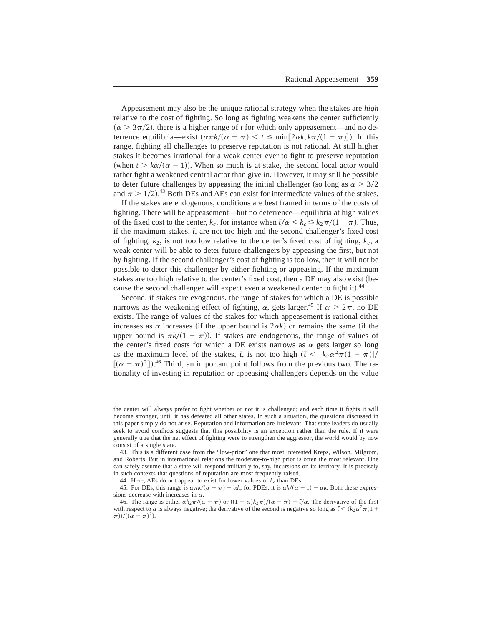Appeasement may also be the unique rational strategy when the stakes are *high* relative to the cost of fighting. So long as fighting weakens the center sufficiently  $(\alpha > 3\pi/2)$ , there is a higher range of *t* for which only appeasement—and no deterrence equilibria—exist  $(\alpha \pi k/(\alpha - \pi) < t \le \min[2\alpha k, k\pi/(1 - \pi)]$ ). In this range, fighting all challenges to preserve reputation is not rational. At still higher stakes it becomes irrational for a weak center ever to fight to preserve reputation (when  $t > k\alpha/(\alpha - 1)$ ). When so much is at stake, the second local actor would rather fight a weakened central actor than give in. However, it may still be possible to deter future challenges by appeasing the initial challenger (so long as  $\alpha > 3/2$ ) and  $\pi > 1/2$ ).<sup>43</sup> Both DEs and AEs can exist for intermediate values of the stakes.

If the stakes are endogenous, conditions are best framed in terms of the costs of fighting. There will be appeasement—but no deterrence—equilibria at high values of the fixed cost to the center,  $k_c$ , for instance when  $\bar{t}/\alpha < k_c \leq k_2\pi/(1 - \pi)$ . Thus, if the maximum stakes,  $\bar{t}$ , are not too high and the second challenger's fixed cost of fighting,  $k_2$ , is not too low relative to the center's fixed cost of fighting,  $k_c$ , a weak center will be able to deter future challengers by appeasing the first, but not by fighting. If the second challenger's cost of fighting is too low, then it will not be possible to deter this challenger by either fighting or appeasing. If the maximum stakes are too high relative to the center's fixed cost, then a DE may also exist (because the second challenger will expect even a weakened center to fight it).<sup>44</sup>

Second, if stakes are exogenous, the range of stakes for which a DE is possible narrows as the weakening effect of fighting,  $\alpha$ , gets larger.<sup>45</sup> If  $\alpha > 2\pi$ , no DE exists. The range of values of the stakes for which appeasement is rational either increases as  $\alpha$  increases (if the upper bound is  $2\alpha k$ ) or remains the same (if the upper bound is  $\pi k/(1 - \pi)$ ). If stakes are endogenous, the range of values of the center's fixed costs for which a DE exists narrows as  $\alpha$  gets larger so long as the maximum level of the stakes,  $\bar{t}$ , is not too high  $(\bar{t} < [k_2 \alpha^2 \pi (1 + \pi)]$ /  $[(\alpha - \pi)^2]$ .<sup>46</sup> Third, an important point follows from the previous two. The rationality of investing in reputation or appeasing challengers depends on the value

the center will always prefer to fight whether or not it is challenged; and each time it fights it will become stronger, until it has defeated all other states. In such a situation, the questions discussed in this paper simply do not arise. Reputation and information are irrelevant. That state leaders do usually seek to avoid conflicts suggests that this possibility is an exception rather than the rule. If it were generally true that the net effect of fighting were to strengthen the aggressor, the world would by now consist of a single state.

<sup>43.</sup> This is a different case from the "low-prior" one that most interested Kreps, Wilson, Milgrom, and Roberts. But in international relations the moderate-to-high prior is often the most relevant. One can safely assume that a state will respond militarily to, say, incursions on its territory. It is precisely in such contexts that questions of reputation are most frequently raised.

<sup>44.</sup> Here, AEs do not appear to exist for lower values of  $k_c$  than DEs.

<sup>45.</sup> For DEs, this range is  $\alpha \pi k/(\alpha - \pi) - \alpha k$ ; for PDEs, it is  $\alpha k/(\alpha - 1) - \alpha k$ . Both these expressions decrease with increases in  $\alpha$ .

<sup>46.</sup> The range is either  $\alpha k_2\pi/(\alpha - \pi)$  or  $((1 + \alpha)k_2\pi)/(\alpha - \pi) - \bar{t}/\alpha$ . The derivative of the first with respect to  $\alpha$  is always negative; the derivative of the second is negative so long as  $\bar{t} < (k_2 \alpha^2 \pi (1 +$  $(\pi$ *)* $)/((\alpha - \pi)^2)$ .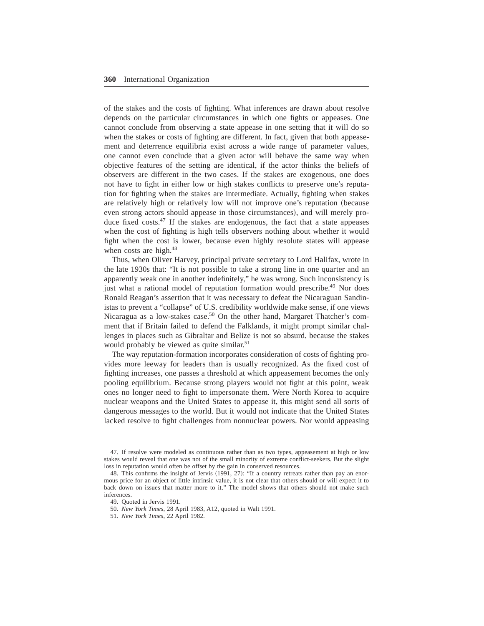of the stakes and the costs of fighting. What inferences are drawn about resolve depends on the particular circumstances in which one fights or appeases. One cannot conclude from observing a state appease in one setting that it will do so when the stakes or costs of fighting are different. In fact, given that both appeasement and deterrence equilibria exist across a wide range of parameter values, one cannot even conclude that a given actor will behave the same way when objective features of the setting are identical, if the actor thinks the beliefs of observers are different in the two cases. If the stakes are exogenous, one does not have to fight in either low or high stakes conflicts to preserve one's reputation for fighting when the stakes are intermediate. Actually, fighting when stakes are relatively high or relatively low will not improve one's reputation (because even strong actors should appease in those circumstances), and will merely produce fixed costs.<sup>47</sup> If the stakes are endogenous, the fact that a state appeases when the cost of fighting is high tells observers nothing about whether it would fight when the cost is lower, because even highly resolute states will appease when costs are high.<sup>48</sup>

Thus, when Oliver Harvey, principal private secretary to Lord Halifax, wrote in the late 1930s that: "It is not possible to take a strong line in one quarter and an apparently weak one in another indefinitely," he was wrong. Such inconsistency is just what a rational model of reputation formation would prescribe.<sup>49</sup> Nor does Ronald Reagan's assertion that it was necessary to defeat the Nicaraguan Sandinistas to prevent a "collapse" of U.S. credibility worldwide make sense, if one views Nicaragua as a low-stakes case.<sup>50</sup> On the other hand, Margaret Thatcher's comment that if Britain failed to defend the Falklands, it might prompt similar challenges in places such as Gibraltar and Belize is not so absurd, because the stakes would probably be viewed as quite similar.<sup>51</sup>

The way reputation-formation incorporates consideration of costs of fighting provides more leeway for leaders than is usually recognized+ As the fixed cost of fighting increases, one passes a threshold at which appeasement becomes the only pooling equilibrium. Because strong players would not fight at this point, weak ones no longer need to fight to impersonate them. Were North Korea to acquire nuclear weapons and the United States to appease it, this might send all sorts of dangerous messages to the world. But it would not indicate that the United States lacked resolve to fight challenges from nonnuclear powers. Nor would appeasing

47. If resolve were modeled as continuous rather than as two types, appeasement at high or low stakes would reveal that one was not of the small minority of extreme conflict-seekers. But the slight loss in reputation would often be offset by the gain in conserved resources.

<sup>48.</sup> This confirms the insight of Jervis (1991, 27): "If a country retreats rather than pay an enormous price for an object of little intrinsic value, it is not clear that others should or will expect it to back down on issues that matter more to it." The model shows that others should not make such inferences.

<sup>49.</sup> Quoted in Jervis 1991.

<sup>50.</sup> *New York Times*, 28 April 1983, A12, quoted in Walt 1991.

<sup>51.</sup> *New York Times*, 22 April 1982.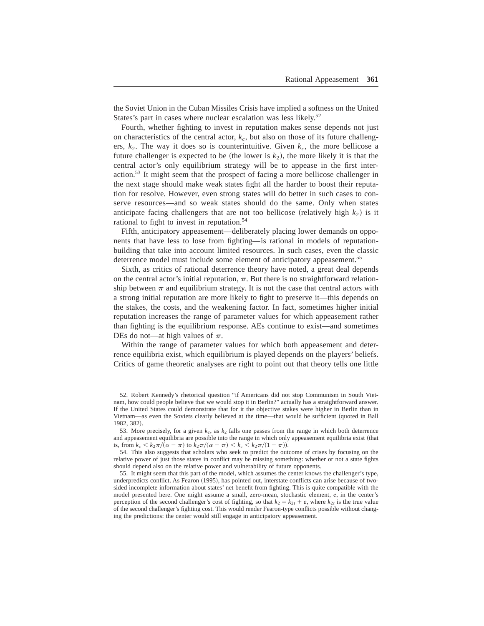the Soviet Union in the Cuban Missiles Crisis have implied a softness on the United States's part in cases where nuclear escalation was less likely.<sup>52</sup>

Fourth, whether fighting to invest in reputation makes sense depends not just on characteristics of the central actor,  $k_c$ , but also on those of its future challengers,  $k_2$ . The way it does so is counterintuitive. Given  $k_c$ , the more bellicose a future challenger is expected to be (the lower is  $k_2$ ), the more likely it is that the central actor's only equilibrium strategy will be to appease in the first interaction.<sup>53</sup> It might seem that the prospect of facing a more bellicose challenger in the next stage should make weak states fight all the harder to boost their reputation for resolve. However, even strong states will do better in such cases to conserve resources—and so weak states should do the same. Only when states anticipate facing challengers that are not too bellicose (relatively high  $k_2$ ) is it rational to fight to invest in reputation.<sup>54</sup>

Fifth, anticipatory appeasement—deliberately placing lower demands on opponents that have less to lose from fighting—is rational in models of reputationbuilding that take into account limited resources. In such cases, even the classic deterrence model must include some element of anticipatory appeasement.<sup>55</sup>

Sixth, as critics of rational deterrence theory have noted, a great deal depends on the central actor's initial reputation,  $\pi$ . But there is no straightforward relationship between  $\pi$  and equilibrium strategy. It is not the case that central actors with a strong initial reputation are more likely to fight to preserve it—this depends on the stakes, the costs, and the weakening factor. In fact, sometimes higher initial reputation increases the range of parameter values for which appeasement rather than fighting is the equilibrium response+ AEs continue to exist—and sometimes DEs do not—at high values of  $\pi$ .

Within the range of parameter values for which both appeasement and deterrence equilibria exist, which equilibrium is played depends on the players' beliefs. Critics of game theoretic analyses are right to point out that theory tells one little

52. Robert Kennedy's rhetorical question "if Americans did not stop Communism in South Vietnam, how could people believe that we would stop it in Berlin?" actually has a straightforward answer. If the United States could demonstrate that for it the objective stakes were higher in Berlin than in Vietnam—as even the Soviets clearly believed at the time—that would be sufficient (quoted in Ball 1982, 382).

53. More precisely, for a given  $k_c$ , as  $k_2$  falls one passes from the range in which both deterrence and appeasement equilibria are possible into the range in which only appeasement equilibria exist (that is, from  $k_c < k_2\pi/(\alpha - \pi)$  to  $k_2\pi/(\alpha - \pi) < k_c < k_2\pi/(1 - \pi)$ ).

54. This also suggests that scholars who seek to predict the outcome of crises by focusing on the relative power of just those states in conflict may be missing something: whether or not a state fights should depend also on the relative power and vulnerability of future opponents.

55. It might seem that this part of the model, which assumes the center knows the challenger's type, underpredicts conflict. As Fearon (1995), has pointed out, interstate conflicts can arise because of twosided incomplete information about states' net benefit from fighting. This is quite compatible with the model presented here. One might assume a small, zero-mean, stochastic element,  $e$ , in the center's perception of the second challenger's cost of fighting, so that  $k_2 = k_{2t} + e$ , where  $k_{2t}$  is the true value of the second challenger's fighting cost. This would render Fearon-type conflicts possible without changing the predictions: the center would still engage in anticipatory appeasement.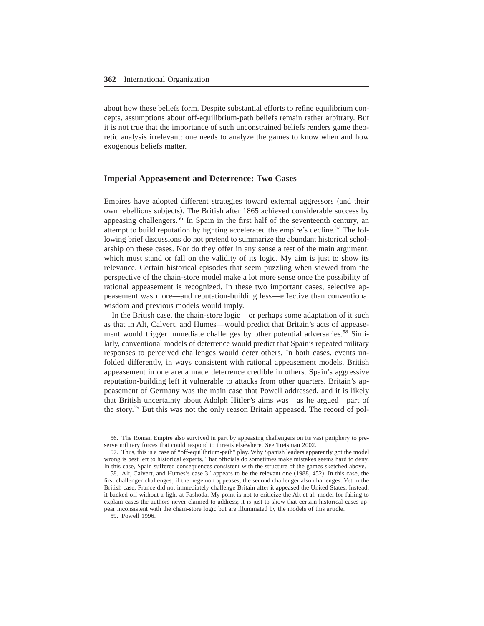about how these beliefs form. Despite substantial efforts to refine equilibrium concepts, assumptions about off-equilibrium-path beliefs remain rather arbitrary. But it is not true that the importance of such unconstrained beliefs renders game theoretic analysis irrelevant: one needs to analyze the games to know when and how exogenous beliefs matter.

## **Imperial Appeasement and Deterrence: Two Cases**

Empires have adopted different strategies toward external aggressors (and their own rebellious subjects). The British after 1865 achieved considerable success by appeasing challengers.<sup>56</sup> In Spain in the first half of the seventeenth century, an attempt to build reputation by fighting accelerated the empire's decline.<sup>57</sup> The following brief discussions do not pretend to summarize the abundant historical scholarship on these cases. Nor do they offer in any sense a test of the main argument, which must stand or fall on the validity of its logic. My aim is just to show its relevance. Certain historical episodes that seem puzzling when viewed from the perspective of the chain-store model make a lot more sense once the possibility of rational appeasement is recognized. In these two important cases, selective appeasement was more—and reputation-building less—effective than conventional wisdom and previous models would imply.

In the British case, the chain-store logic—or perhaps some adaptation of it such as that in Alt, Calvert, and Humes—would predict that Britain's acts of appeasement would trigger immediate challenges by other potential adversaries.<sup>58</sup> Similarly, conventional models of deterrence would predict that Spain's repeated military responses to perceived challenges would deter others. In both cases, events unfolded differently, in ways consistent with rational appeasement models. British appeasement in one arena made deterrence credible in others. Spain's aggressive reputation-building left it vulnerable to attacks from other quarters. Britain's appeasement of Germany was the main case that Powell addressed, and it is likely that British uncertainty about Adolph Hitler's aims was—as he argued—part of the story.<sup>59</sup> But this was not the only reason Britain appeased. The record of pol-

56. The Roman Empire also survived in part by appeasing challengers on its vast periphery to preserve military forces that could respond to threats elsewhere. See Treisman 2002.

57. Thus, this is a case of "off-equilibrium-path" play. Why Spanish leaders apparently got the model wrong is best left to historical experts. That officials do sometimes make mistakes seems hard to deny. In this case, Spain suffered consequences consistent with the structure of the games sketched above.

58. Alt, Calvert, and Humes's case 3" appears to be the relevant one (1988, 452). In this case, the first challenger challenges; if the hegemon appeases, the second challenger also challenges. Yet in the British case, France did not immediately challenge Britain after it appeased the United States. Instead, it backed off without a fight at Fashoda. My point is not to criticize the Alt et al. model for failing to explain cases the authors never claimed to address; it is just to show that certain historical cases appear inconsistent with the chain-store logic but are illuminated by the models of this article+

59. Powell 1996.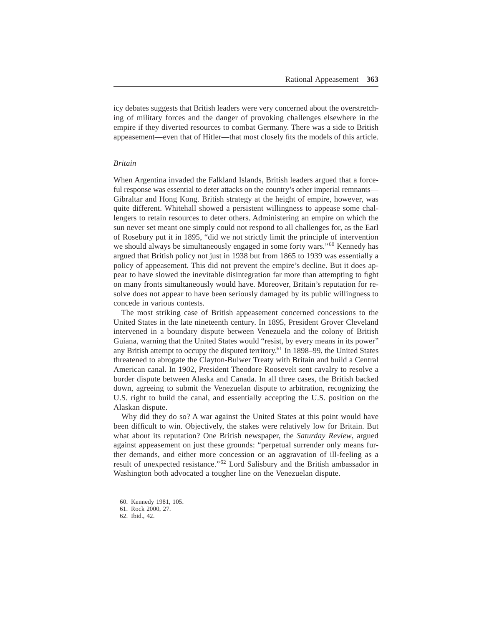icy debates suggests that British leaders were very concerned about the overstretching of military forces and the danger of provoking challenges elsewhere in the empire if they diverted resources to combat Germany. There was a side to British appeasement—even that of Hitler—that most closely fits the models of this article+

#### *Britain*

When Argentina invaded the Falkland Islands, British leaders argued that a forceful response was essential to deter attacks on the country's other imperial remnants— Gibraltar and Hong Kong. British strategy at the height of empire, however, was quite different. Whitehall showed a persistent willingness to appease some challengers to retain resources to deter others. Administering an empire on which the sun never set meant one simply could not respond to all challenges for, as the Earl of Rosebury put it in 1895, "did we not strictly limit the principle of intervention we should always be simultaneously engaged in some forty wars."<sup>60</sup> Kennedy has argued that British policy not just in 1938 but from 1865 to 1939 was essentially a policy of appeasement. This did not prevent the empire's decline. But it does appear to have slowed the inevitable disintegration far more than attempting to fight on many fronts simultaneously would have+ Moreover, Britain's reputation for resolve does not appear to have been seriously damaged by its public willingness to concede in various contests.

The most striking case of British appeasement concerned concessions to the United States in the late nineteenth century. In 1895, President Grover Cleveland intervened in a boundary dispute between Venezuela and the colony of British Guiana, warning that the United States would "resist, by every means in its power" any British attempt to occupy the disputed territory.<sup>61</sup> In 1898–99, the United States threatened to abrogate the Clayton-Bulwer Treaty with Britain and build a Central American canal. In 1902, President Theodore Roosevelt sent cavalry to resolve a border dispute between Alaska and Canada. In all three cases, the British backed down, agreeing to submit the Venezuelan dispute to arbitration, recognizing the U.S. right to build the canal, and essentially accepting the U.S. position on the Alaskan dispute.

Why did they do so? A war against the United States at this point would have been difficult to win. Objectively, the stakes were relatively low for Britain. But what about its reputation? One British newspaper, the *Saturday Review*, argued against appeasement on just these grounds: "perpetual surrender only means further demands, and either more concession or an aggravation of ill-feeling as a result of unexpected resistance."<sup>62</sup> Lord Salisbury and the British ambassador in Washington both advocated a tougher line on the Venezuelan dispute.

<sup>60.</sup> Kennedy 1981, 105.

<sup>61.</sup> Rock 2000, 27.

<sup>62.</sup> Ibid., 42.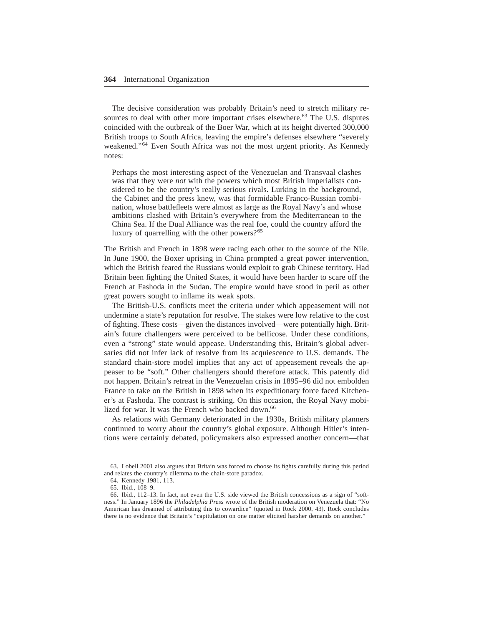The decisive consideration was probably Britain's need to stretch military resources to deal with other more important crises elsewhere.<sup>63</sup> The U.S. disputes coincided with the outbreak of the Boer War, which at its height diverted 300,000 British troops to South Africa, leaving the empire's defenses elsewhere "severely weakened."<sup>64</sup> Even South Africa was not the most urgent priority. As Kennedy notes:

Perhaps the most interesting aspect of the Venezuelan and Transvaal clashes was that they were *not* with the powers which most British imperialists considered to be the country's really serious rivals. Lurking in the background, the Cabinet and the press knew, was that formidable Franco-Russian combination, whose battlefleets were almost as large as the Royal Navy's and whose ambitions clashed with Britain's everywhere from the Mediterranean to the China Sea. If the Dual Alliance was the real foe, could the country afford the luxury of quarrelling with the other powers?<sup>65</sup>

The British and French in 1898 were racing each other to the source of the Nile+ In June 1900, the Boxer uprising in China prompted a great power intervention, which the British feared the Russians would exploit to grab Chinese territory. Had Britain been fighting the United States, it would have been harder to scare off the French at Fashoda in the Sudan. The empire would have stood in peril as other great powers sought to inflame its weak spots+

The British-U.S. conflicts meet the criteria under which appeasement will not undermine a state's reputation for resolve+ The stakes were low relative to the cost of fighting. These costs—given the distances involved—were potentially high. Britain's future challengers were perceived to be bellicose. Under these conditions, even a "strong" state would appease. Understanding this, Britain's global adversaries did not infer lack of resolve from its acquiescence to U.S. demands. The standard chain-store model implies that any act of appeasement reveals the appeaser to be "soft." Other challengers should therefore attack. This patently did not happen. Britain's retreat in the Venezuelan crisis in 1895–96 did not embolden France to take on the British in 1898 when its expeditionary force faced Kitchener's at Fashoda. The contrast is striking. On this occasion, the Royal Navy mobilized for war. It was the French who backed down.<sup>66</sup>

As relations with Germany deteriorated in the 1930s, British military planners continued to worry about the country's global exposure+ Although Hitler's intentions were certainly debated, policymakers also expressed another concern—that

<sup>63</sup>+ Lobell 2001 also argues that Britain was forced to choose its fights carefully during this period and relates the country's dilemma to the chain-store paradox.

<sup>64.</sup> Kennedy 1981, 113.

<sup>65.</sup> Ibid., 108-9.

<sup>66.</sup> Ibid., 112–13. In fact, not even the U.S. side viewed the British concessions as a sign of "softness+" In January 1896 the *Philadelphia Press* wrote of the British moderation on Venezuela that: "No American has dreamed of attributing this to cowardice" (quoted in Rock 2000, 43). Rock concludes there is no evidence that Britain's "capitulation on one matter elicited harsher demands on another."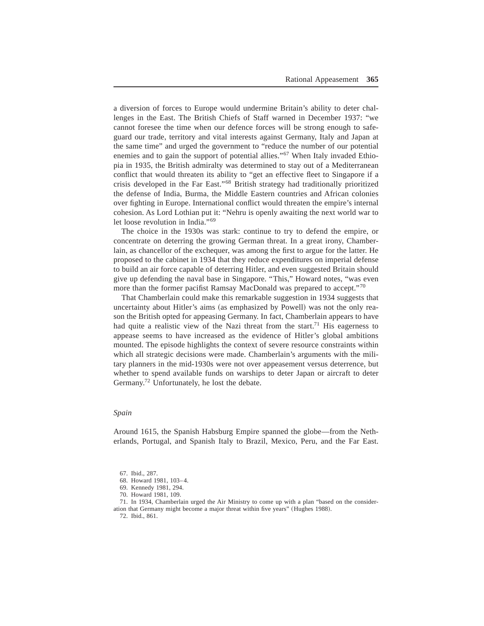a diversion of forces to Europe would undermine Britain's ability to deter challenges in the East. The British Chiefs of Staff warned in December 1937: "we cannot foresee the time when our defence forces will be strong enough to safeguard our trade, territory and vital interests against Germany, Italy and Japan at the same time" and urged the government to "reduce the number of our potential enemies and to gain the support of potential allies."<sup>67</sup> When Italy invaded Ethiopia in 1935, the British admiralty was determined to stay out of a Mediterranean conflict that would threaten its ability to "get an effective fleet to Singapore if a crisis developed in the Far East."<sup>68</sup> British strategy had traditionally prioritized the defense of India, Burma, the Middle Eastern countries and African colonies over fighting in Europe. International conflict would threaten the empire's internal cohesion+ As Lord Lothian put it: "Nehru is openly awaiting the next world war to let loose revolution in India."<sup>69</sup>

The choice in the 1930s was stark: continue to try to defend the empire, or concentrate on deterring the growing German threat. In a great irony, Chamberlain, as chancellor of the exchequer, was among the first to argue for the latter. He proposed to the cabinet in 1934 that they reduce expenditures on imperial defense to build an air force capable of deterring Hitler, and even suggested Britain should give up defending the naval base in Singapore. "This," Howard notes, "was even more than the former pacifist Ramsay MacDonald was prepared to accept."<sup>70</sup>

That Chamberlain could make this remarkable suggestion in 1934 suggests that uncertainty about Hitler's aims (as emphasized by Powell) was not the only reason the British opted for appeasing Germany. In fact, Chamberlain appears to have had quite a realistic view of the Nazi threat from the start.<sup>71</sup> His eagerness to appease seems to have increased as the evidence of Hitler's global ambitions mounted. The episode highlights the context of severe resource constraints within which all strategic decisions were made. Chamberlain's arguments with the military planners in the mid-1930s were not over appeasement versus deterrence, but whether to spend available funds on warships to deter Japan or aircraft to deter Germany.<sup>72</sup> Unfortunately, he lost the debate.

#### *Spain*

Around 1615, the Spanish Habsburg Empire spanned the globe—from the Netherlands, Portugal, and Spanish Italy to Brazil, Mexico, Peru, and the Far East.

71. In 1934, Chamberlain urged the Air Ministry to come up with a plan "based on the consideration that Germany might become a major threat within five years" (Hughes 1988).

72. Ibid., 861.

<sup>67.</sup> Ibid., 287.

<sup>68.</sup> Howard 1981, 103-4.

<sup>69.</sup> Kennedy 1981, 294.

<sup>70.</sup> Howard 1981, 109.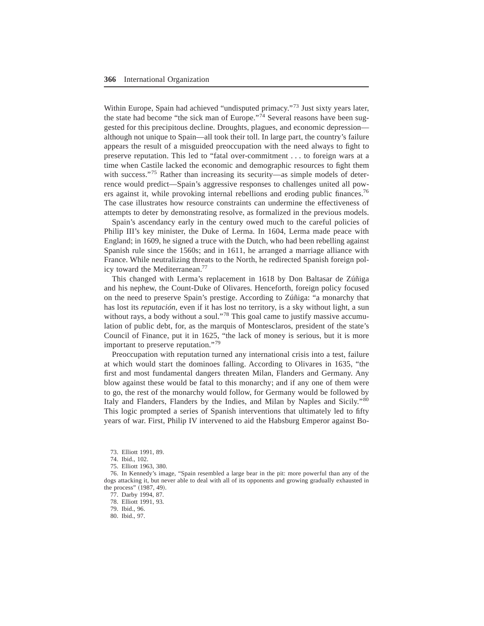Within Europe, Spain had achieved "undisputed primacy."<sup>73</sup> Just sixty years later, the state had become "the sick man of Europe."<sup>74</sup> Several reasons have been suggested for this precipitous decline. Droughts, plagues, and economic depression although not unique to Spain—all took their toll. In large part, the country's failure appears the result of a misguided preoccupation with the need always to fight to preserve reputation. This led to "fatal over-commitment . . . to foreign wars at a time when Castile lacked the economic and demographic resources to fight them with success."<sup>75</sup> Rather than increasing its security—as simple models of deterrence would predict—Spain's aggressive responses to challenges united all powers against it, while provoking internal rebellions and eroding public finances.<sup>76</sup> The case illustrates how resource constraints can undermine the effectiveness of attempts to deter by demonstrating resolve, as formalized in the previous models+

Spain's ascendancy early in the century owed much to the careful policies of Philip III's key minister, the Duke of Lerma. In 1604, Lerma made peace with England; in 1609, he signed a truce with the Dutch, who had been rebelling against Spanish rule since the 1560s; and in 1611, he arranged a marriage alliance with France. While neutralizing threats to the North, he redirected Spanish foreign policy toward the Mediterranean.<sup>77</sup>

This changed with Lerma's replacement in 1618 by Don Baltasar de Zúñiga and his nephew, the Count-Duke of Olivares. Henceforth, foreign policy focused on the need to preserve Spain's prestige+ According to Zúñiga: "a monarchy that has lost its *reputación*, even if it has lost no territory, is a sky without light, a sun without rays, a body without a soul."<sup>78</sup> This goal came to justify massive accumulation of public debt, for, as the marquis of Montesclaros, president of the state's Council of Finance, put it in 1625, "the lack of money is serious, but it is more important to preserve reputation."<sup>79</sup>

Preoccupation with reputation turned any international crisis into a test, failure at which would start the dominoes falling+ According to Olivares in 1635, "the first and most fundamental dangers threaten Milan, Flanders and Germany. Any blow against these would be fatal to this monarchy; and if any one of them were to go, the rest of the monarchy would follow, for Germany would be followed by Italy and Flanders, Flanders by the Indies, and Milan by Naples and Sicily."<sup>80</sup> This logic prompted a series of Spanish interventions that ultimately led to fifty years of war, First, Philip IV intervened to aid the Habsburg Emperor against Bo-

73. Elliott 1991, 89.

75. Elliott 1963, 380.

77. Darby 1994, 87.

80. Ibid., 97.

<sup>74.</sup> Ibid., 102.

<sup>76.</sup> In Kennedy's image, "Spain resembled a large bear in the pit: more powerful than any of the dogs attacking it, but never able to deal with all of its opponents and growing gradually exhausted in the process"  $(1987, 49)$ .

<sup>78.</sup> Elliott 1991, 93.

<sup>79.</sup> Ibid., 96.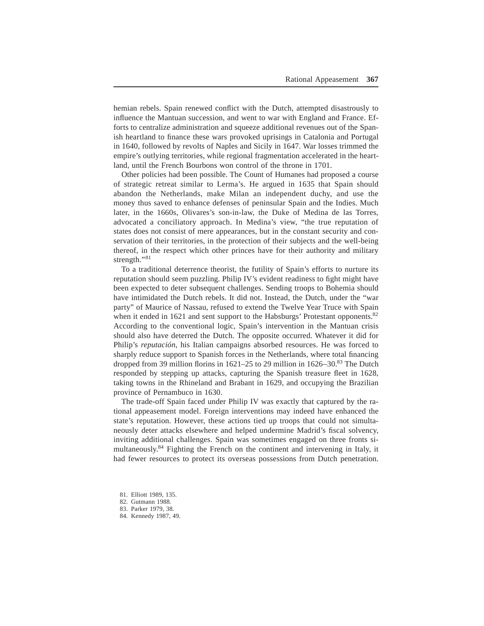hemian rebels. Spain renewed conflict with the Dutch, attempted disastrously to influence the Mantuan succession, and went to war with England and France. Efforts to centralize administration and squeeze additional revenues out of the Spanish heartland to finance these wars provoked uprisings in Catalonia and Portugal in 1640, followed by revolts of Naples and Sicily in 1647. War losses trimmed the empire's outlying territories, while regional fragmentation accelerated in the heartland, until the French Bourbons won control of the throne in 1701.

Other policies had been possible+ The Count of Humanes had proposed a course of strategic retreat similar to Lerma's. He argued in 1635 that Spain should abandon the Netherlands, make Milan an independent duchy, and use the money thus saved to enhance defenses of peninsular Spain and the Indies. Much later, in the 1660s, Olivares's son-in-law, the Duke of Medina de las Torres, advocated a conciliatory approach. In Medina's view, "the true reputation of states does not consist of mere appearances, but in the constant security and conservation of their territories, in the protection of their subjects and the well-being thereof, in the respect which other princes have for their authority and military strength."<sup>81</sup>

To a traditional deterrence theorist, the futility of Spain's efforts to nurture its reputation should seem puzzling. Philip IV's evident readiness to fight might have been expected to deter subsequent challenges. Sending troops to Bohemia should have intimidated the Dutch rebels. It did not. Instead, the Dutch, under the "war party" of Maurice of Nassau, refused to extend the Twelve Year Truce with Spain when it ended in 1621 and sent support to the Habsburgs' Protestant opponents.<sup>82</sup> According to the conventional logic, Spain's intervention in the Mantuan crisis should also have deterred the Dutch. The opposite occurred. Whatever it did for Philip's *reputación*, his Italian campaigns absorbed resources. He was forced to sharply reduce support to Spanish forces in the Netherlands, where total financing dropped from 39 million florins in  $1621-25$  to 29 million in  $1626-30.^{83}$  The Dutch responded by stepping up attacks, capturing the Spanish treasure fleet in 1628, taking towns in the Rhineland and Brabant in 1629, and occupying the Brazilian province of Pernambuco in 1630.

The trade-off Spain faced under Philip IV was exactly that captured by the rational appeasement model. Foreign interventions may indeed have enhanced the state's reputation. However, these actions tied up troops that could not simultaneously deter attacks elsewhere and helped undermine Madrid's fiscal solvency, inviting additional challenges. Spain was sometimes engaged on three fronts simultaneously.<sup>84</sup> Fighting the French on the continent and intervening in Italy, it had fewer resources to protect its overseas possessions from Dutch penetration.

<sup>81.</sup> Elliott 1989, 135.

<sup>82.</sup> Gutmann 1988.

<sup>83.</sup> Parker 1979, 38.

<sup>84.</sup> Kennedy 1987, 49.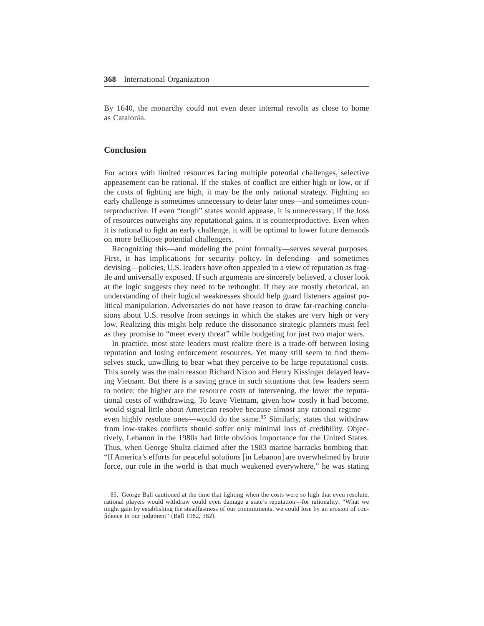By 1640, the monarchy could not even deter internal revolts as close to home as Catalonia.

## **Conclusion**

For actors with limited resources facing multiple potential challenges, selective appeasement can be rational. If the stakes of conflict are either high or low, or if the costs of fighting are high, it may be the only rational strategy. Fighting an early challenge is sometimes unnecessary to deter later ones—and sometimes counterproductive. If even "tough" states would appease, it is unnecessary; if the loss of resources outweighs any reputational gains, it is counterproductive+ Even when it is rational to fight an early challenge, it will be optimal to lower future demands on more bellicose potential challengers.

Recognizing this—and modeling the point formally—serves several purposes. First, it has implications for security policy. In defending—and sometimes devising—policies, U.S. leaders have often appealed to a view of reputation as fragile and universally exposed. If such arguments are sincerely believed, a closer look at the logic suggests they need to be rethought. If they are mostly rhetorical, an understanding of their logical weaknesses should help guard listeners against political manipulation. Adversaries do not have reason to draw far-reaching conclusions about U.S. resolve from settings in which the stakes are very high or very low. Realizing this might help reduce the dissonance strategic planners must feel as they promise to "meet every threat" while budgeting for just two major wars.

In practice, most state leaders must realize there is a trade-off between losing reputation and losing enforcement resources. Yet many still seem to find themselves stuck, unwilling to bear what they perceive to be large reputational costs. This surely was the main reason Richard Nixon and Henry Kissinger delayed leaving Vietnam. But there is a saving grace in such situations that few leaders seem to notice: the higher are the resource costs of intervening, the lower the reputational costs of withdrawing+ To leave Vietnam, given how costly it had become, would signal little about American resolve because almost any rational regime even highly resolute ones—would do the same.<sup>85</sup> Similarly, states that withdraw from low-stakes conflicts should suffer only minimal loss of credibility. Objectively, Lebanon in the 1980s had little obvious importance for the United States. Thus, when George Shultz claimed after the 1983 marine barracks bombing that: "If America's efforts for peaceful solutions [in Lebanon] are overwhelmed by brute force, our role in the world is that much weakened everywhere," he was stating

<sup>85.</sup> George Ball cautioned at the time that fighting when the costs were so high that even resolute, rational players would withdraw could even damage a state's reputation—for rationality: "What we might gain by establishing the steadfastness of our commitments, we could lose by an erosion of confidence in our judgment" (Ball 1982, 382).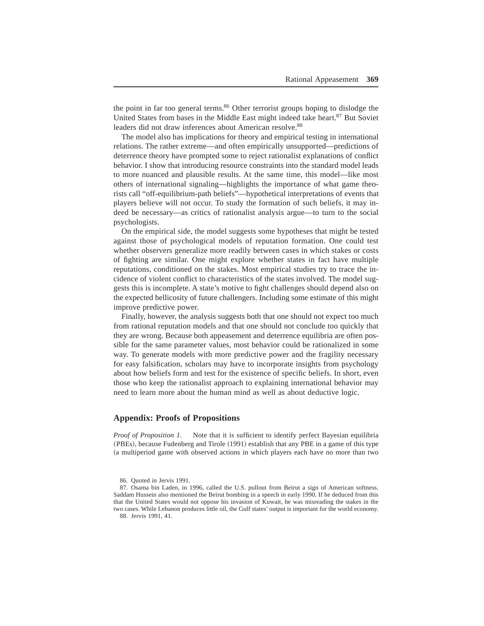the point in far too general terms.<sup>86</sup> Other terrorist groups hoping to dislodge the United States from bases in the Middle East might indeed take heart.<sup>87</sup> But Soviet leaders did not draw inferences about American resolve.<sup>88</sup>

The model also has implications for theory and empirical testing in international relations. The rather extreme—and often empirically unsupported—predictions of deterrence theory have prompted some to reject rationalist explanations of conflict behavior. I show that introducing resource constraints into the standard model leads to more nuanced and plausible results+ At the same time, this model—like most others of international signaling—highlights the importance of what game theorists call "off-equilibrium-path beliefs"—hypothetical interpretations of events that players believe will not occur. To study the formation of such beliefs, it may indeed be necessary—as critics of rationalist analysis argue—to turn to the social psychologists+

On the empirical side, the model suggests some hypotheses that might be tested against those of psychological models of reputation formation+ One could test whether observers generalize more readily between cases in which stakes or costs of fighting are similar. One might explore whether states in fact have multiple reputations, conditioned on the stakes. Most empirical studies try to trace the incidence of violent conflict to characteristics of the states involved. The model suggests this is incomplete. A state's motive to fight challenges should depend also on the expected bellicosity of future challengers. Including some estimate of this might improve predictive power.

Finally, however, the analysis suggests both that one should not expect too much from rational reputation models and that one should not conclude too quickly that they are wrong. Because both appeasement and deterrence equilibria are often possible for the same parameter values, most behavior could be rationalized in some way. To generate models with more predictive power and the fragility necessary for easy falsification, scholars may have to incorporate insights from psychology about how beliefs form and test for the existence of specific beliefs. In short, even those who keep the rationalist approach to explaining international behavior may need to learn more about the human mind as well as about deductive logic+

## **Appendix: Proofs of Propositions**

*Proof of Proposition 1.* Note that it is sufficient to identify perfect Bayesian equilibria (PBEs), because Fudenberg and Tirole (1991) establish that any PBE in a game of this type (a multiperiod game with observed actions in which players each have no more than two

88. Jervis 1991, 41.

<sup>86.</sup> Quoted in Jervis 1991.

<sup>87.</sup> Osama bin Laden, in 1996, called the U.S. pullout from Beirut a sign of American softness. Saddam Hussein also mentioned the Beirut bombing in a speech in early 1990. If he deduced from this that the United States would not oppose his invasion of Kuwait, he was misreading the stakes in the two cases. While Lebanon produces little oil, the Gulf states' output is important for the world economy.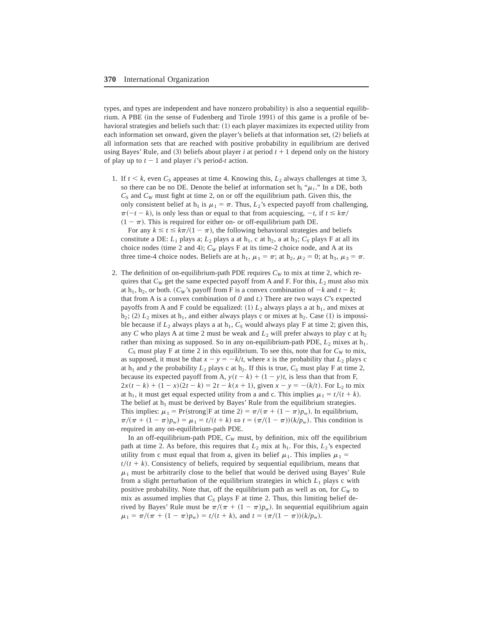types, and types are independent and have nonzero probability) is also a sequential equilibrium. A PBE (in the sense of Fudenberg and Tirole 1991) of this game is a profile of behavioral strategies and beliefs such that:  $(1)$  each player maximizes its expected utility from each information set onward, given the player's beliefs at that information set,  $(2)$  beliefs at all information sets that are reached with positive probability in equilibrium are derived using Bayes' Rule, and  $(3)$  beliefs about player *i* at period  $t + 1$  depend only on the history of play up to  $t - 1$  and player *i*'s period-*t* action.

1. If  $t < k$ , even  $C_s$  appeases at time 4. Knowing this,  $L_2$  always challenges at time 3, so there can be no DE. Denote the belief at information set h<sub>i</sub> " $\mu_i$ ." In a DE, both  $C<sub>S</sub>$  and  $C<sub>W</sub>$  must fight at time 2, on or off the equilibrium path. Given this, the only consistent belief at h<sub>1</sub> is  $\mu_1 = \pi$ . Thus, *L*<sub>2</sub>'s expected payoff from challenging,  $\pi(-t - k)$ , is only less than or equal to that from acquiescing,  $-t$ , if  $t \leq k\pi/2$  $(1 - \pi)$ . This is required for either on- or off-equilibrium path DE. For any  $k \le t \le k\pi/(1 - \pi)$ , the following behavioral strategies and beliefs

constitute a DE:  $L_1$  plays a;  $L_2$  plays a at  $h_1$ , c at  $h_2$ , a at  $h_3$ ;  $C_s$  plays F at all its choice nodes (time 2 and 4);  $C_W$  plays F at its time-2 choice node, and A at its three time-4 choice nodes. Beliefs are at h<sub>1</sub>,  $\mu_1 = \pi$ ; at h<sub>2</sub>,  $\mu_2 = 0$ ; at h<sub>3</sub>,  $\mu_3 = \pi$ .

2. The definition of on-equilibrium-path PDE requires  $C_W$  to mix at time 2, which requires that  $C_W$  get the same expected payoff from A and F. For this,  $L_2$  must also mix at h<sub>1</sub>, h<sub>2</sub>, or both. ( $C_W$ 's payoff from F is a convex combination of  $-k$  and  $t - k$ ; that from A is a convex combination of  $\theta$  and  $t$ .) There are two ways  $C$ 's expected payoffs from A and F could be equalized:  $(1) L_2$  always plays a at h<sub>1</sub>, and mixes at  $h_2$ ; (2)  $L_2$  mixes at  $h_1$ , and either always plays c or mixes at  $h_2$ . Case (1) is impossible because if  $L_2$  always plays a at  $h_1$ ,  $C_s$  would always play F at time 2; given this, any *C* who plays A at time 2 must be weak and  $L_2$  will prefer always to play c at  $h_2$ rather than mixing as supposed. So in any on-equilibrium-path PDE,  $L_2$  mixes at h<sub>1</sub>.

 $C<sub>S</sub>$  must play F at time 2 in this equilibrium. To see this, note that for  $C<sub>W</sub>$  to mix, as supposed, it must be that  $x - y = -k/t$ , where *x* is the probability that  $L_2$  plays c at  $h_1$  and *y* the probability  $L_2$  plays c at  $h_2$ . If this is true,  $C_S$  must play F at time 2, because its expected payoff from A,  $y(t - k) + (1 - y)t$ , is less than that from F,  $2x(t-k) + (1-x)(2t-k) = 2t - k(x+1)$ , given  $x - y = -(k/t)$ . For L<sub>2</sub> to mix at h<sub>1</sub>, it must get equal expected utility from a and c. This implies  $\mu_1 = t/(t + k)$ . The belief at  $h_1$  must be derived by Bayes' Rule from the equilibrium strategies. This implies:  $\mu_1 = Pr(\text{strong}|F \text{ at time 2}) = \pi/(\pi + (1 - \pi)p_w)$ . In equilibrium,  $\pi/(\pi + (1 - \pi)p_w) = \mu_1 = t/(t + k) \Leftrightarrow t = (\pi/(1 - \pi))(k/p_w)$ . This condition is required in any on-equilibrium-path PDE.

In an off-equilibrium-path PDE,  $C_W$  must, by definition, mix off the equilibrium path at time 2. As before, this requires that  $L_2$  mix at h<sub>1</sub>. For this,  $L_2$ 's expected utility from c must equal that from a, given its belief  $\mu_1$ . This implies  $\mu_1$  =  $t/(t + k)$ . Consistency of beliefs, required by sequential equilibrium, means that  $\mu_1$  must be arbitrarily close to the belief that would be derived using Bayes' Rule from a slight perturbation of the equilibrium strategies in which  $L_1$  plays c with positive probability. Note that, off the equilibrium path as well as on, for  $C_W$  to mix as assumed implies that  $C_S$  plays F at time 2. Thus, this limiting belief derived by Bayes' Rule must be  $\pi/(\pi + (1 - \pi)p_w)$ . In sequential equilibrium again  $\mu_1 = \pi/(\pi + (1 - \pi)p_w) = t/(t + k)$ , and  $t = (\pi/(1 - \pi))(k/p_w)$ .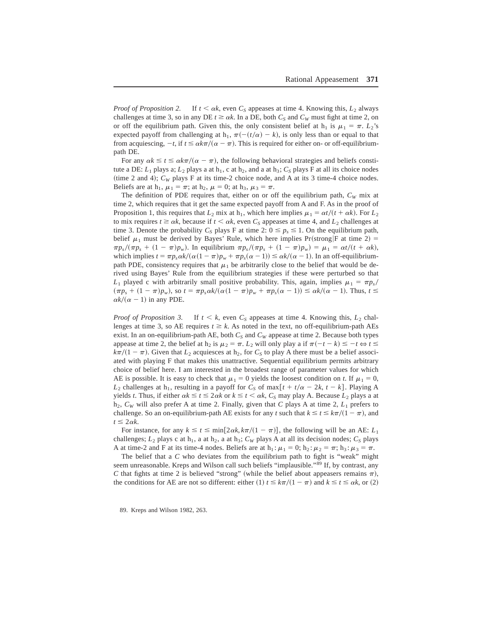*Proof of Proposition 2.* If  $t < \alpha k$ , even  $C_S$  appeases at time 4. Knowing this,  $L_2$  always challenges at time 3, so in any DE  $t \ge \alpha k$ . In a DE, both  $C_s$  and  $C_w$  must fight at time 2, on or off the equilibrium path. Given this, the only consistent belief at h<sub>1</sub> is  $\mu_1 = \pi$ .  $L_2$ 's expected payoff from challenging at h<sub>1</sub>,  $\pi$ ( $-(t/\alpha) - k$ ), is only less than or equal to that from acquiescing,  $-t$ , if  $t \le \alpha k \pi/(\alpha - \pi)$ . This is required for either on- or off-equilibriumpath DE.

For any  $\alpha k \le t \le \alpha k \pi/(\alpha - \pi)$ , the following behavioral strategies and beliefs constitute a DE:  $L_1$  plays a;  $L_2$  plays a at h<sub>1</sub>, c at h<sub>2</sub>, and a at h<sub>3</sub>;  $C_S$  plays F at all its choice nodes (time 2 and 4);  $C_W$  plays F at its time-2 choice node, and A at its 3 time-4 choice nodes. Beliefs are at h<sub>1</sub>,  $\mu_1 = \pi$ ; at h<sub>2</sub>,  $\mu = 0$ ; at h<sub>3</sub>,  $\mu_3 = \pi$ .

The definition of PDE requires that, either on or off the equilibrium path,  $C_W$  mix at time 2, which requires that it get the same expected payoff from A and F. As in the proof of Proposition 1, this requires that  $L_2$  mix at  $h_1$ , which here implies  $\mu_1 = \alpha t/(t + \alpha k)$ . For  $L_2$ to mix requires  $t \ge \alpha k$ , because if  $t < \alpha k$ , even  $C_s$  appeases at time 4, and  $L_2$  challenges at time 3. Denote the probability  $C_S$  plays F at time 2:  $0 \le p_s \le 1$ . On the equilibrium path, belief  $\mu_1$  must be derived by Bayes' Rule, which here implies Pr(strong F at time 2) =  $\pi p_s/(\pi p_s + (1 - \pi)p_w)$ . In equilibrium  $\pi p_s/(\pi p_s + (1 - \pi)p_w) = \mu_1 = \alpha t/(t + \alpha k)$ , which implies  $t = \pi p_s \alpha k/(\alpha (1 - \pi) p_w + \pi p_s(\alpha - 1)) \leq \alpha k/(\alpha - 1)$ . In an off-equilibriumpath PDE, consistency requires that  $\mu_1$  be arbitrarily close to the belief that would be derived using Bayes' Rule from the equilibrium strategies if these were perturbed so that  $L_1$  played c with arbitrarily small positive probability. This, again, implies  $\mu_1 = \pi p_s/$  $(\pi p_s + (1 - \pi)p_w)$ , so  $t = \pi p_s \alpha k/(\alpha (1 - \pi)p_w + \pi p_s(\alpha - 1)) \leq \alpha k/(\alpha - 1)$ . Thus,  $t \leq$  $\alpha k/(\alpha - 1)$  in any PDE.

*Proof of Proposition 3.* If  $t < k$ , even  $C_s$  appeases at time 4. Knowing this,  $L_2$  challenges at time 3, so AE requires  $t \ge k$ . As noted in the text, no off-equilibrium-path AEs exist. In an on-equilibrium-path AE, both  $C_S$  and  $C_W$  appease at time 2. Because both types appease at time 2, the belief at h<sub>2</sub> is  $\mu_2 = \pi$ .  $L_2$  will only play a if  $\pi(-t - k) \leq -t \Leftrightarrow t \leq$  $k\pi/(1 - \pi)$ . Given that  $L_2$  acquiesces at  $h_2$ , for  $C_S$  to play A there must be a belief associated with playing F that makes this unattractive. Sequential equilibrium permits arbitrary choice of belief here. I am interested in the broadest range of parameter values for which AE is possible. It is easy to check that  $\mu_1 = 0$  yields the loosest condition on *t*. If  $\mu_1 = 0$ , *L*<sub>2</sub> challenges at h<sub>1</sub>, resulting in a payoff for  $C_s$  of max $[t + t/\alpha - 2k, t - k]$ . Playing A yields *t*. Thus, if either  $\alpha k \le t \le 2\alpha k$  or  $k \le t \le \alpha k$ ,  $C_s$  may play A. Because  $L_2$  plays a at  $h_2$ ,  $C_W$  will also prefer A at time 2. Finally, given that *C* plays A at time 2,  $L_1$  prefers to challenge. So an on-equilibrium-path AE exists for any *t* such that  $k \le t \le k\pi/(1 - \pi)$ , and  $t \leq 2\alpha k$ .

For instance, for any  $k \le t \le \min[2\alpha k, k\pi/(1 - \pi)]$ , the following will be an AE:  $L_1$ challenges;  $L_2$  plays c at h<sub>1</sub>, a at h<sub>2</sub>, a at h<sub>3</sub>;  $C_W$  plays A at all its decision nodes;  $C_S$  plays A at time-2 and F at its time-4 nodes. Beliefs are at  $h_1$ :  $\mu_1 = 0$ ;  $h_2$ :  $\mu_2 = \pi$ ;  $h_3$ :  $\mu_3 = \pi$ .

The belief that a *C* who deviates from the equilibrium path to fight is "weak" might seem unreasonable. Kreps and Wilson call such beliefs "implausible."89 If, by contrast, any *C* that fights at time 2 is believed "strong" (while the belief about appeasers remains  $\pi$ ), the conditions for AE are not so different: either (1)  $t \leq k\pi/(1 - \pi)$  and  $k \leq t \leq \alpha k$ , or (2)

89. Kreps and Wilson 1982, 263.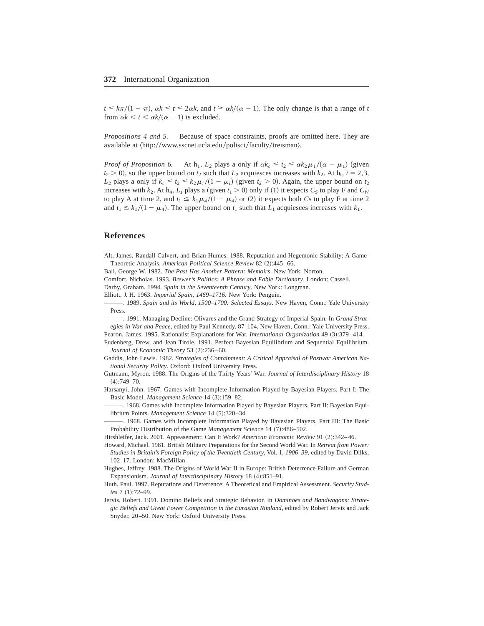$t \leq k\pi/(1 - \pi)$ ,  $\alpha k \leq t \leq 2\alpha k$ , and  $t \geq \alpha k/(\alpha - 1)$ . The only change is that a range of *t* from  $\alpha k < t < \alpha k/(\alpha - 1)$  is excluded.

*Propositions 4 and 5.* Because of space constraints, proofs are omitted here. They are available at  $\langle$ http://www.sscnet.ucla.edu/polisci/faculty/treisman $\rangle$ .

*Proof of Proposition 6.* At  $h_1$ ,  $L_2$  plays a only if  $\alpha k_c \le t_2 \le \alpha k_2 \mu_1/(\alpha - \mu_1)$  (given  $t_2 > 0$ ), so the upper bound on  $t_2$  such that  $L_2$  acquiesces increases with  $k_2$ . At h<sub>i</sub>,  $i = 2,3$ , *L*<sub>2</sub> plays a only if  $k_c \le t_2 \le k_2 \mu_i/(1 - \mu_i)$  (given  $t_2 > 0$ ). Again, the upper bound on  $t_2$ increases with  $k_2$ . At h<sub>4</sub>,  $L_1$  plays a (given  $t_1 > 0$ ) only if (1) it expects  $C_s$  to play F and  $C_W$ to play A at time 2, and  $t_1 \leq k_1 \mu_4 / (1 - \mu_4)$  or (2) it expects both *Cs* to play F at time 2 and  $t_1 \leq k_1/(1 - \mu_4)$ . The upper bound on  $t_1$  such that  $L_1$  acquiesces increases with  $k_1$ .

## **References**

Alt, James, Randall Calvert, and Brian Humes. 1988. Reputation and Hegemonic Stability: A Game-Theoretic Analysis. *American Political Science Review* 82 (2):445–66.

Ball, George W. 1982. *The Past Has Another Pattern: Memoirs*. New York: Norton.

Comfort, Nicholas. 1993. *Brewer's Politics: A Phrase and Fable Dictionary*. London: Cassell.

Darby, Graham. 1994. *Spain in the Seventeenth Century*. New York: Longman.

Elliott, J. H. 1963. *Imperial Spain, 1469–1716*. New York: Penguin.

———+ 1989+ *Spain and its World, 1500–1700: Selected Essays*+ New Haven, Conn+: Yale University Press.

 $-$ , 1991. Managing Decline: Olivares and the Grand Strategy of Imperial Spain. In *Grand Strat*egies in War and Peace, edited by Paul Kennedy, 87-104. New Haven, Conn.: Yale University Press.

Fearon, James. 1995. Rationalist Explanations for War. *International Organization* 49 (3):379-414.

Fudenberg, Drew, and Jean Tirole. 1991. Perfect Bayesian Equilibrium and Sequential Equilibrium. *Journal of Economic Theory* 53 (2):236-60.

Gaddis, John Lewis. 1982. *Strategies of Containment: A Critical Appraisal of Postwar American Na*tional Security Policy. Oxford: Oxford University Press.

Gutmann, Myron. 1988. The Origins of the Thirty Years' War. *Journal of Interdisciplinary History* 18  $(4):749-70.$ 

Harsanyi, John. 1967. Games with Incomplete Information Played by Bayesian Players, Part I: The Basic Model. *Management Science* 14 (3):159-82.

—. 1968. Games with Incomplete Information Played by Bayesian Players, Part II: Bayesian Equilibrium Points. *Management Science* 14 (5):320-34.

———+ 1968+ Games with Incomplete Information Played by Bayesian Players, Part III: The Basic Probability Distribution of the Game *Management Science* 14 (7):486–502.

Hirshleifer, Jack. 2001. Appeasement: Can It Work? *American Economic Review* 91 (2):342–46.

Howard, Michael. 1981. British Military Preparations for the Second World War. In *Retreat from Power: Studies in Britain's Foreign Policy of the Twentieth Century*, Vol+ 1, *1906–39*, edited by David Dilks, 102-17. London: MacMillan.

Hughes, Jeffrey. 1988. The Origins of World War II in Europe: British Deterrence Failure and German Expansionism. *Journal of Interdisciplinary History* 18 (4):851-91.

Huth, Paul. 1997. Reputations and Deterrence: A Theoretical and Empirical Assessment. *Security Studies* 7 (1):72–99.

Jervis, Robert. 1991. Domino Beliefs and Strategic Behavior. In *Dominoes and Bandwagons: Strategic Beliefs and Great Power Competition in the Eurasian Rimland*, edited by Robert Jervis and Jack Snyder, 20–50. New York: Oxford University Press.